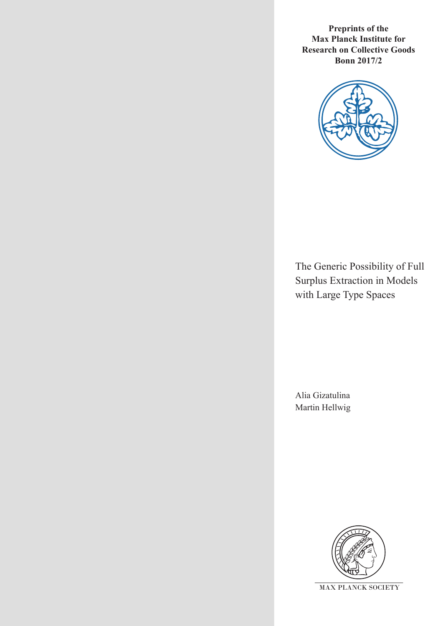**Preprints of the Max Planck Institute for Research on Collective Goods Bonn 2017/2**



The Generic Possibility of Full Surplus Extraction in Models with Large Type Spaces

Alia Gizatulina Martin Hellwig

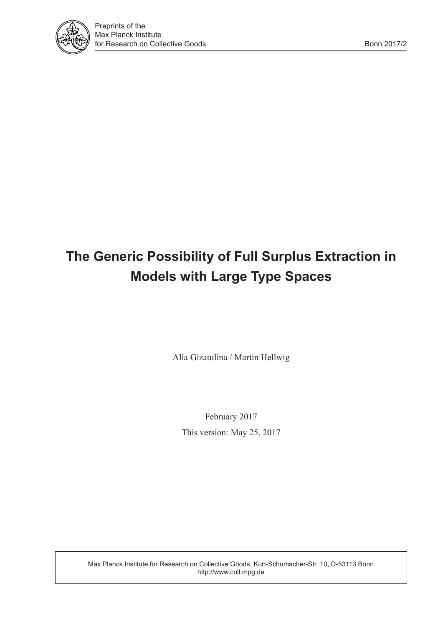

# **The Generic Possibility of Full Surplus Extraction in Models with Large Type Spaces**

Alia Gizatulina / Martin Hellwig

February 2017 This version: May 25, 2017

Max Planck Institute for Research on Collective Goods, Kurt-Schumacher-Str. 10, D-53113 Bonn http://www.coll.mpg.de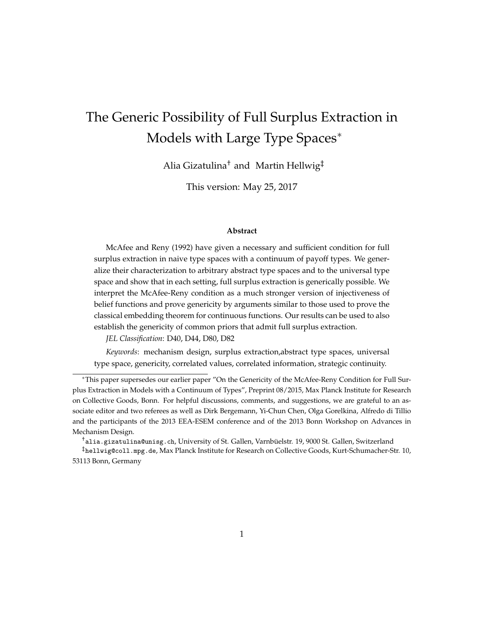# The Generic Possibility of Full Surplus Extraction in Models with Large Type Spaces<sup>∗</sup>

Alia Gizatulina† and Martin Hellwig‡

This version: May 25, 2017

#### **Abstract**

McAfee and Reny (1992) have given a necessary and sufficient condition for full surplus extraction in naive type spaces with a continuum of payoff types. We generalize their characterization to arbitrary abstract type spaces and to the universal type space and show that in each setting, full surplus extraction is generically possible. We interpret the McAfee-Reny condition as a much stronger version of injectiveness of belief functions and prove genericity by arguments similar to those used to prove the classical embedding theorem for continuous functions. Our results can be used to also establish the genericity of common priors that admit full surplus extraction.

*JEL Classification*: D40, D44, D80, D82

*Keywords*: mechanism design, surplus extraction,abstract type spaces, universal type space, genericity, correlated values, correlated information, strategic continuity.

 $^{\dagger}$ alia.gizatulina@unisg.ch, University of St. Gallen, Varnbüelstr. 19, 9000 St. Gallen, Switzerland

<sup>∗</sup>This paper supersedes our earlier paper "On the Genericity of the McAfee-Reny Condition for Full Surplus Extraction in Models with a Continuum of Types", Preprint 08/2015, Max Planck Institute for Research on Collective Goods, Bonn. For helpful discussions, comments, and suggestions, we are grateful to an associate editor and two referees as well as Dirk Bergemann, Yi-Chun Chen, Olga Gorelkina, Alfredo di Tillio and the participants of the 2013 EEA-ESEM conference and of the 2013 Bonn Workshop on Advances in Mechanism Design.

<sup>‡</sup>hellwig@coll.mpg.de, Max Planck Institute for Research on Collective Goods, Kurt-Schumacher-Str. 10, 53113 Bonn, Germany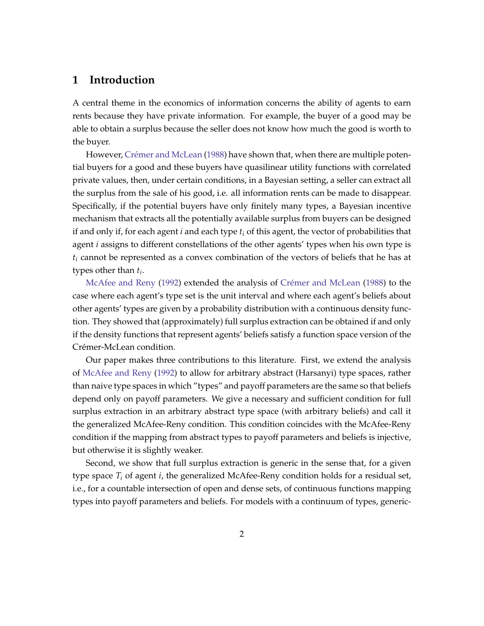# **1 Introduction**

A central theme in the economics of information concerns the ability of agents to earn rents because they have private information. For example, the buyer of a good may be able to obtain a surplus because the seller does not know how much the good is worth to the buyer.

However, Crémer and McLean [\(1988\)](#page-45-0) have shown that, when there are multiple potential buyers for a good and these buyers have quasilinear utility functions with correlated private values, then, under certain conditions, in a Bayesian setting, a seller can extract all the surplus from the sale of his good, i.e. all information rents can be made to disappear. Specifically, if the potential buyers have only finitely many types, a Bayesian incentive mechanism that extracts all the potentially available surplus from buyers can be designed if and only if, for each agent *i* and each type *t<sup>i</sup>* of this agent, the vector of probabilities that agent *i* assigns to different constellations of the other agents' types when his own type is *t<sup>i</sup>* cannot be represented as a convex combination of the vectors of beliefs that he has at types other than *t<sup>i</sup>* .

[McAfee and Reny](#page-46-0) [\(1992\)](#page-46-0) extended the analysis of Crémer and McLean [\(1988\)](#page-45-0) to the case where each agent's type set is the unit interval and where each agent's beliefs about other agents' types are given by a probability distribution with a continuous density function. They showed that (approximately) full surplus extraction can be obtained if and only if the density functions that represent agents' beliefs satisfy a function space version of the Crémer-McLean condition.

Our paper makes three contributions to this literature. First, we extend the analysis of [McAfee and Reny](#page-46-0) [\(1992\)](#page-46-0) to allow for arbitrary abstract (Harsanyi) type spaces, rather than naive type spaces in which "types" and payoff parameters are the same so that beliefs depend only on payoff parameters. We give a necessary and sufficient condition for full surplus extraction in an arbitrary abstract type space (with arbitrary beliefs) and call it the generalized McAfee-Reny condition. This condition coincides with the McAfee-Reny condition if the mapping from abstract types to payoff parameters and beliefs is injective, but otherwise it is slightly weaker.

Second, we show that full surplus extraction is generic in the sense that, for a given type space *T<sup>i</sup>* of agent *i*, the generalized McAfee-Reny condition holds for a residual set, i.e., for a countable intersection of open and dense sets, of continuous functions mapping types into payoff parameters and beliefs. For models with a continuum of types, generic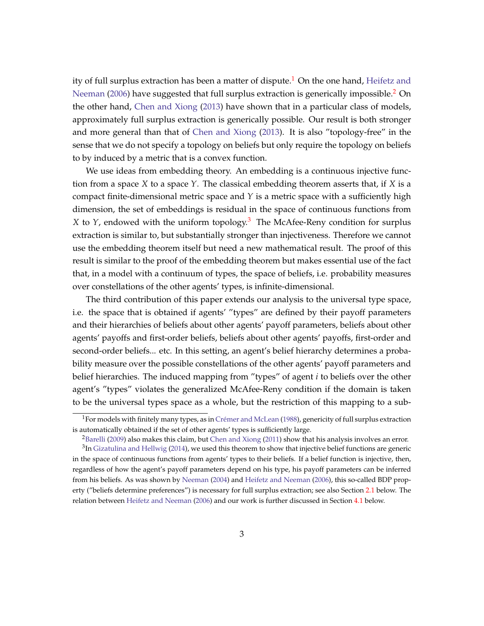ity of full surplus extraction has been a matter of dispute.<sup>[1](#page-4-0)</sup> On the one hand, [Heifetz and](#page-46-1) [Neeman](#page-46-1) [\(2006\)](#page-46-1) have suggested that full surplus extraction is generically impossible.<sup>[2](#page-4-1)</sup> On the other hand, [Chen and Xiong](#page-45-1) [\(2013\)](#page-45-1) have shown that in a particular class of models, approximately full surplus extraction is generically possible. Our result is both stronger and more general than that of [Chen and Xiong](#page-45-1) [\(2013\)](#page-45-1). It is also "topology-free" in the sense that we do not specify a topology on beliefs but only require the topology on beliefs to by induced by a metric that is a convex function.

We use ideas from embedding theory. An embedding is a continuous injective function from a space *X* to a space *Y*. The classical embedding theorem asserts that, if *X* is a compact finite-dimensional metric space and *Y* is a metric space with a sufficiently high dimension, the set of embeddings is residual in the space of continuous functions from *X* to *Y*, endowed with the uniform topology.[3](#page-4-2) The McAfee-Reny condition for surplus extraction is similar to, but substantially stronger than injectiveness. Therefore we cannot use the embedding theorem itself but need a new mathematical result. The proof of this result is similar to the proof of the embedding theorem but makes essential use of the fact that, in a model with a continuum of types, the space of beliefs, i.e. probability measures over constellations of the other agents' types, is infinite-dimensional.

The third contribution of this paper extends our analysis to the universal type space, i.e. the space that is obtained if agents' "types" are defined by their payoff parameters and their hierarchies of beliefs about other agents' payoff parameters, beliefs about other agents' payoffs and first-order beliefs, beliefs about other agents' payoffs, first-order and second-order beliefs... etc. In this setting, an agent's belief hierarchy determines a probability measure over the possible constellations of the other agents' payoff parameters and belief hierarchies. The induced mapping from "types" of agent *i* to beliefs over the other agent's "types" violates the generalized McAfee-Reny condition if the domain is taken to be the universal types space as a whole, but the restriction of this mapping to a sub-

<span id="page-4-0"></span><sup>&</sup>lt;sup>1</sup>For models with finitely many types, as in Crémer and McLean [\(1988\)](#page-45-0), genericity of full surplus extraction is automatically obtained if the set of other agents' types is sufficiently large.

<span id="page-4-2"></span><span id="page-4-1"></span> ${}^{2}$ [Barelli](#page-45-2) [\(2009\)](#page-45-2) also makes this claim, but [Chen and Xiong](#page-45-3) [\(2011\)](#page-45-3) show that his analysis involves an error.  ${}^{3}$ In [Gizatulina and Hellwig](#page-46-2) [\(2014\)](#page-46-2), we used this theorem to show that injective belief functions are generic in the space of continuous functions from agents' types to their beliefs. If a belief function is injective, then, regardless of how the agent's payoff parameters depend on his type, his payoff parameters can be inferred from his beliefs. As was shown by [Neeman](#page-46-3) [\(2004\)](#page-46-3) and [Heifetz and Neeman](#page-46-1) [\(2006\)](#page-46-1), this so-called BDP property ("beliefs determine preferences") is necessary for full surplus extraction; see also Section [2.1](#page-6-0) below. The relation between [Heifetz and Neeman](#page-46-1) [\(2006\)](#page-46-1) and our work is further discussed in Section [4.1](#page-35-0) below.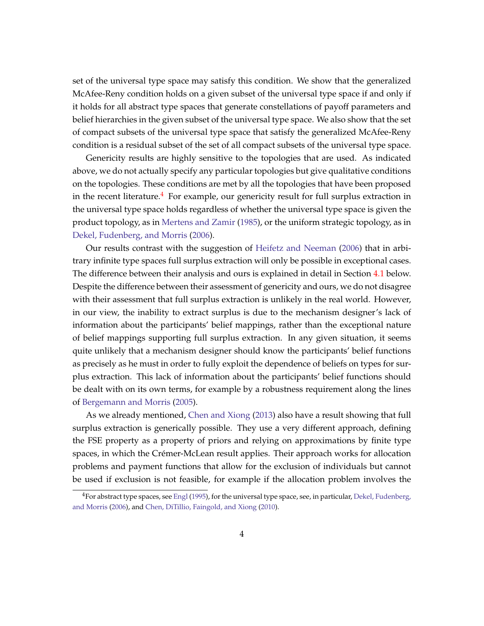set of the universal type space may satisfy this condition. We show that the generalized McAfee-Reny condition holds on a given subset of the universal type space if and only if it holds for all abstract type spaces that generate constellations of payoff parameters and belief hierarchies in the given subset of the universal type space. We also show that the set of compact subsets of the universal type space that satisfy the generalized McAfee-Reny condition is a residual subset of the set of all compact subsets of the universal type space.

Genericity results are highly sensitive to the topologies that are used. As indicated above, we do not actually specify any particular topologies but give qualitative conditions on the topologies. These conditions are met by all the topologies that have been proposed in the recent literature.<sup>[4](#page-5-0)</sup> For example, our genericity result for full surplus extraction in the universal type space holds regardless of whether the universal type space is given the product topology, as in [Mertens and Zamir](#page-46-4) [\(1985\)](#page-46-4), or the uniform strategic topology, as in [Dekel, Fudenberg, and Morris](#page-45-4) [\(2006\)](#page-45-4).

Our results contrast with the suggestion of [Heifetz and Neeman](#page-46-1) [\(2006\)](#page-46-1) that in arbitrary infinite type spaces full surplus extraction will only be possible in exceptional cases. The difference between their analysis and ours is explained in detail in Section [4.1](#page-35-0) below. Despite the difference between their assessment of genericity and ours, we do not disagree with their assessment that full surplus extraction is unlikely in the real world. However, in our view, the inability to extract surplus is due to the mechanism designer's lack of information about the participants' belief mappings, rather than the exceptional nature of belief mappings supporting full surplus extraction. In any given situation, it seems quite unlikely that a mechanism designer should know the participants' belief functions as precisely as he must in order to fully exploit the dependence of beliefs on types for surplus extraction. This lack of information about the participants' belief functions should be dealt with on its own terms, for example by a robustness requirement along the lines of [Bergemann and Morris](#page-45-5) [\(2005\)](#page-45-5).

As we already mentioned, [Chen and Xiong](#page-45-1) [\(2013\)](#page-45-1) also have a result showing that full surplus extraction is generically possible. They use a very different approach, defining the FSE property as a property of priors and relying on approximations by finite type spaces, in which the Crémer-McLean result applies. Their approach works for allocation problems and payment functions that allow for the exclusion of individuals but cannot be used if exclusion is not feasible, for example if the allocation problem involves the

<span id="page-5-0"></span> $4$ For abstract type spaces, see [Engl](#page-45-6) [\(1995\)](#page-45-6), for the universal type space, see, in particular, [Dekel, Fudenberg,](#page-45-4) [and Morris](#page-45-4) [\(2006\)](#page-45-4), and [Chen, DiTillio, Faingold, and Xiong](#page-45-7) [\(2010\)](#page-45-7).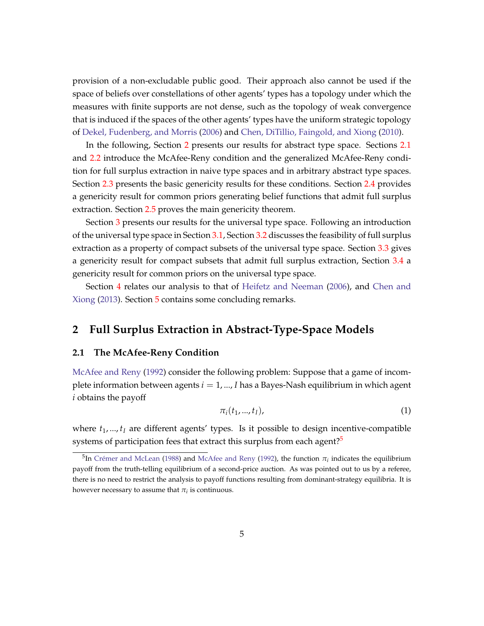provision of a non-excludable public good. Their approach also cannot be used if the space of beliefs over constellations of other agents' types has a topology under which the measures with finite supports are not dense, such as the topology of weak convergence that is induced if the spaces of the other agents' types have the uniform strategic topology of [Dekel, Fudenberg, and Morris](#page-45-4) [\(2006\)](#page-45-4) and [Chen, DiTillio, Faingold, and Xiong](#page-45-7) [\(2010\)](#page-45-7).

In the following, Section [2](#page-6-1) presents our results for abstract type space. Sections [2.1](#page-6-0) and [2.2](#page-9-0) introduce the McAfee-Reny condition and the generalized McAfee-Reny condition for full surplus extraction in naive type spaces and in arbitrary abstract type spaces. Section [2.3](#page-13-0) presents the basic genericity results for these conditions. Section [2.4](#page-16-0) provides a genericity result for common priors generating belief functions that admit full surplus extraction. Section [2.5](#page-19-0) proves the main genericity theorem.

Section [3](#page-24-0) presents our results for the universal type space. Following an introduction of the universal type space in Section [3.1,](#page-24-1) Section [3.2](#page-26-0) discusses the feasibility of full surplus extraction as a property of compact subsets of the universal type space. Section [3.3](#page-29-0) gives a genericity result for compact subsets that admit full surplus extraction, Section [3.4](#page-34-0) a genericity result for common priors on the universal type space.

Section [4](#page-35-1) relates our analysis to that of [Heifetz and Neeman](#page-46-1) [\(2006\)](#page-46-1), and [Chen and](#page-45-1) [Xiong](#page-45-1) [\(2013\)](#page-45-1). Section [5](#page-38-0) contains some concluding remarks.

# <span id="page-6-1"></span>**2 Full Surplus Extraction in Abstract-Type-Space Models**

#### <span id="page-6-0"></span>**2.1 The McAfee-Reny Condition**

[McAfee and Reny](#page-46-0) [\(1992\)](#page-46-0) consider the following problem: Suppose that a game of incomplete information between agents  $i = 1, ..., I$  has a Bayes-Nash equilibrium in which agent *i* obtains the payoff

<span id="page-6-3"></span>
$$
\pi_i(t_1,...,t_I),\tag{1}
$$

where *t*1, ..., *t<sup>I</sup>* are different agents' types. Is it possible to design incentive-compatible systems of participation fees that extract this surplus from each agent?<sup>[5](#page-6-2)</sup>

<span id="page-6-2"></span><sup>&</sup>lt;sup>5</sup>In Crémer and McLean [\(1988\)](#page-45-0) and [McAfee and Reny](#page-46-0) [\(1992\)](#page-46-0), the function  $\pi_i$  indicates the equilibrium payoff from the truth-telling equilibrium of a second-price auction. As was pointed out to us by a referee, there is no need to restrict the analysis to payoff functions resulting from dominant-strategy equilibria. It is however necessary to assume that  $\pi_i$  is continuous.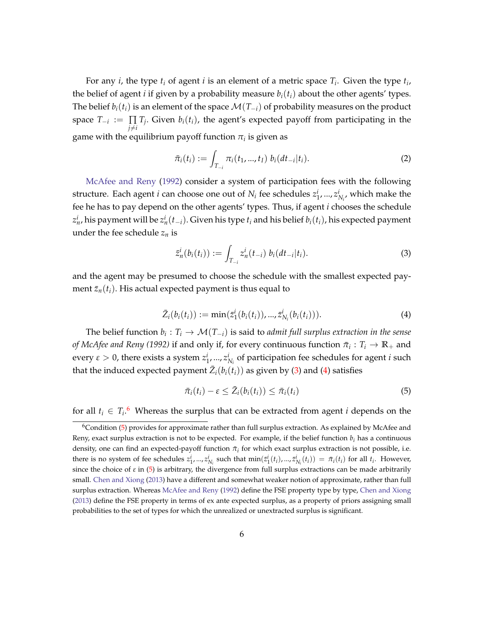For any *i*, the type *t<sup>i</sup>* of agent *i* is an element of a metric space *T<sup>i</sup>* . Given the type *t<sup>i</sup>* , the belief of agent *i* if given by a probability measure  $b_i(t_i)$  about the other agents' types. The belief  $b_i(t_i)$  is an element of the space  $\mathcal{M}(T_{-i})$  of probability measures on the product space  $T_{-i} := \prod$  $\prod_{j \neq i} T_j$ . Given  $b_i(t_i)$ , the agent's expected payoff from participating in the game with the equilibrium payoff function  $\pi_i$  is given as

<span id="page-7-4"></span>
$$
\bar{\pi}_i(t_i) := \int_{T_{-i}} \pi_i(t_1, ..., t_I) \ b_i(dt_{-i}|t_i).
$$
 (2)

[McAfee and Reny](#page-46-0) [\(1992\)](#page-46-0) consider a system of participation fees with the following structure. Each agent *i* can choose one out of  $N_i$  fee schedules  $z_1^i, ..., z_{N_i}^i$ , which make the fee he has to pay depend on the other agents' types. Thus, if agent *i* chooses the schedule  $z_n^i$ , his payment will be  $z_n^i(t_{-i})$ . Given his type  $t_i$  and his belief  $b_i(t_i)$ , his expected payment under the fee schedule  $z_n$  is

<span id="page-7-0"></span>
$$
\bar{z}_n^i(b_i(t_i)) := \int_{T_{-i}} z_n^i(t_{-i}) b_i(dt_{-i}|t_i).
$$
\n(3)

and the agent may be presumed to choose the schedule with the smallest expected payment  $\bar{z}_n(t_i)$ . His actual expected payment is thus equal to

<span id="page-7-1"></span>
$$
\bar{Z}_i(b_i(t_i)) := \min(\bar{z}_1^i(b_i(t_i)), ..., \bar{z}_{N_i}^i(b_i(t_i))).
$$
\n(4)

The belief function  $b_i: T_i \to \mathcal{M}(T_{-i})$  is said to *admit full surplus extraction in the sense*  $of$  *McAfee and Reny (1992)* if and only if, for every continuous function  $\bar{\pi}_i: T_i \to \mathbb{R}_+$  and every  $\varepsilon > 0$ , there exists a system  $z_1^i, ..., z_{N_i}^i$  of participation fee schedules for agent *i* such that the induced expected payment  $\bar{Z}_i(b_i(t_i))$  as given by [\(3\)](#page-7-0) and [\(4\)](#page-7-1) satisfies

<span id="page-7-3"></span>
$$
\bar{\pi}_i(t_i) - \varepsilon \leq \bar{Z}_i(b_i(t_i)) \leq \bar{\pi}_i(t_i)
$$
\n
$$
(5)
$$

for all  $t_i \in T_i$ <sup>[6](#page-7-2)</sup> Whereas the surplus that can be extracted from agent *i* depends on the

<span id="page-7-2"></span><sup>6</sup>Condition [\(5\)](#page-7-3) provides for approximate rather than full surplus extraction. As explained by McAfee and Reny, exact surplus extraction is not to be expected. For example, if the belief function *b<sup>i</sup>* has a continuous density, one can find an expected-payoff function  $\pi_i$  for which exact surplus extraction is not possible, i.e. there is no system of fee schedules  $z_1^i,...,z_{N_i}^i$  such that  $\min(\bar{z}_1^i(t_i),..., \bar{z}_{N_i}^i(t_i)) = \bar{\pi}_i(t_i)$  for all  $t_i$ . However, since the choice of  $\varepsilon$  in [\(5\)](#page-7-3) is arbitrary, the divergence from full surplus extractions can be made arbitrarily small. [Chen and Xiong](#page-45-1) [\(2013\)](#page-45-1) have a different and somewhat weaker notion of approximate, rather than full surplus extraction. Whereas [McAfee and Reny](#page-46-0) [\(1992\)](#page-46-0) define the FSE property type by type, [Chen and Xiong](#page-45-1) [\(2013\)](#page-45-1) define the FSE property in terms of ex ante expected surplus, as a property of priors assigning small probabilities to the set of types for which the unrealized or unextracted surplus is significant.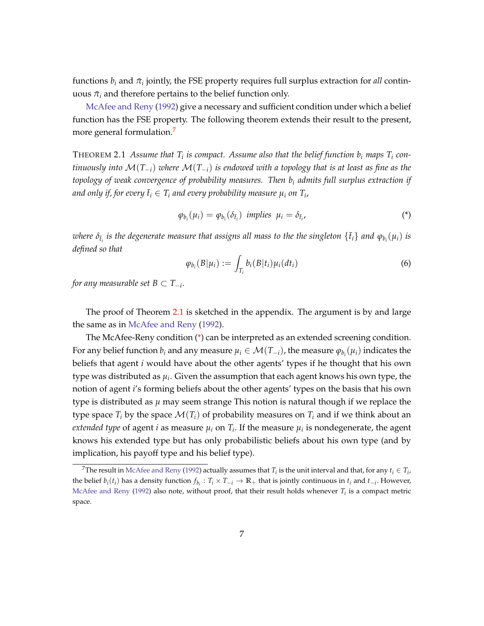functions  $b_i$  and  $\bar{\pi}_i$  jointly, the FSE property requires full surplus extraction for *all* continuous  $\bar{\pi}_i$  and therefore pertains to the belief function only.

[McAfee and Reny](#page-46-0) [\(1992\)](#page-46-0) give a necessary and sufficient condition under which a belief function has the FSE property. The following theorem extends their result to the present, more general formulation.<sup>[7](#page-8-0)</sup>

<span id="page-8-1"></span>THEOREM 2.1 Assume that  $T_i$  is compact. Assume also that the belief function  $b_i$  maps  $T_i$  con*tinuously into* M(*T*−*i*) *where* M(*T*−*i*) *is endowed with a topology that is at least as fine as the topology of weak convergence of probability measures. Then b<sup>i</sup> admits full surplus extraction if* and only if, for every  $\bar{t}_i \in T_i$  and every probability measure  $\mu_i$  on  $T_i$ ,

<span id="page-8-3"></span>
$$
\varphi_{b_i}(\mu_i) = \varphi_{b_i}(\delta_{\bar{t}_i}) \ \ \text{implies} \ \ \mu_i = \delta_{\bar{t}_i}, \tag{*}
$$

 $i$  *i v i is the degenerate measure that assigns all mass to the the singleton*  $\{\bar{t}_i\}$  *and*  $\varphi_{b_i}(\mu_i)$  *is defined so that*

<span id="page-8-2"></span>
$$
\varphi_{b_i}(B|\mu_i) := \int_{T_i} b_i(B|t_i)\mu_i(dt_i) \tag{6}
$$

*for any measurable set B* ⊂ *T*−*<sup>i</sup>* .

The proof of Theorem [2.1](#page-8-1) is sketched in the appendix. The argument is by and large the same as in [McAfee and Reny](#page-46-0) [\(1992\)](#page-46-0).

The McAfee-Reny condition [\(\\*\)](#page-8-2) can be interpreted as an extended screening condition. For any belief function  $b_i$  and any measure  $\mu_i\in\mathcal{M}(T_{-i})$ , the measure  $\varphi_{b_i}(\mu_i)$  indicates the beliefs that agent *i* would have about the other agents' types if he thought that his own type was distributed as *µ<sup>i</sup>* . Given the assumption that each agent knows his own type, the notion of agent *i*'s forming beliefs about the other agents' types on the basis that his own type is distributed as *µ* may seem strange This notion is natural though if we replace the type space  $T_i$  by the space  $\mathcal{M}(T_i)$  of probability measures on  $T_i$  and if we think about an *extended type* of agent *i* as measure  $\mu_i$  on  $T_i$ . If the measure  $\mu_i$  is nondegenerate, the agent knows his extended type but has only probabilistic beliefs about his own type (and by implication, his payoff type and his belief type).

<span id="page-8-0"></span> $^{7}$ The result in [McAfee and Reny](#page-46-0) [\(1992\)](#page-46-0) actually assumes that  $T_i$  is the unit interval and that, for any  $t_i \in T_i$ , the belief  $b_i(t_i)$  has a density function  $f_{b_i}: T_i \times T_{-i} \to \mathbb{R}_+$  that is jointly continuous in  $t_i$  and  $t_{-i}$ . However, [McAfee and Reny](#page-46-0) [\(1992\)](#page-46-0) also note, without proof, that their result holds whenever *T<sup>i</sup>* is a compact metric space.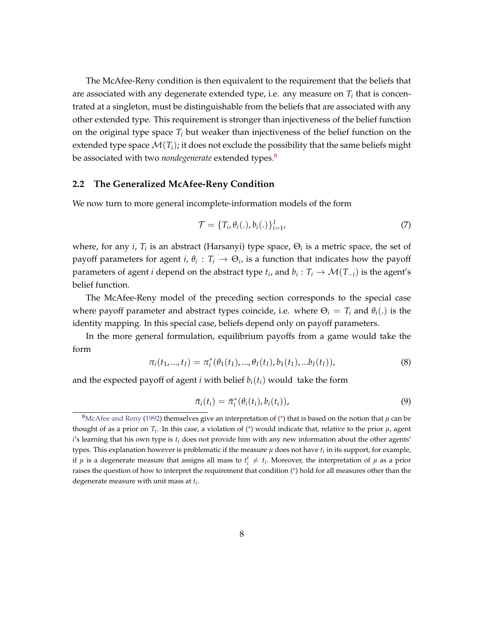The McAfee-Reny condition is then equivalent to the requirement that the beliefs that are associated with any degenerate extended type, i.e. any measure on  $T_i$  that is concentrated at a singleton, must be distinguishable from the beliefs that are associated with any other extended type. This requirement is stronger than injectiveness of the belief function on the original type space  $T_i$  but weaker than injectiveness of the belief function on the extended type space  $\mathcal{M}(T_i)$ ; it does not exclude the possibility that the same beliefs might be associated with two *nondegenerate* extended types.<sup>[8](#page-9-1)</sup>

#### <span id="page-9-0"></span>**2.2 The Generalized McAfee-Reny Condition**

We now turn to more general incomplete-information models of the form

<span id="page-9-4"></span>
$$
\mathcal{T} = \{T_i, \theta_i(.), b_i(.)\}_{i=1}^I,
$$
\n(7)

where, for any *i*,  $T_i$  is an abstract (Harsanyi) type space,  $\Theta_i$  is a metric space, the set of payoff parameters for agent *i*,  $\theta_i$ :  $T_i \rightarrow \Theta_i$ , is a function that indicates how the payoff parameters of agent *i* depend on the abstract type  $t_i$ , and  $b_i:T_i\rightarrow \mathcal{M}(T_{-i})$  is the agent's belief function.

The McAfee-Reny model of the preceding section corresponds to the special case where payoff parameter and abstract types coincide, i.e. where  $\Theta_i = T_i$  and  $\theta_i(.)$  is the identity mapping. In this special case, beliefs depend only on payoff parameters.

In the more general formulation, equilibrium payoffs from a game would take the form

<span id="page-9-3"></span>
$$
\pi_i(t_1, ..., t_I) = \pi_i^*(\theta_1(t_1), ..., \theta_I(t_I), b_1(t_1), ... b_I(t_I)),
$$
\n(8)

and the expected payoff of agent *i* with belief  $b_i(t_i)$  would take the form

<span id="page-9-2"></span>
$$
\bar{\pi}_i(t_i) = \bar{\pi}_i^*(\theta_i(t_i), b_i(t_i)), \qquad (9)
$$

<span id="page-9-1"></span><sup>&</sup>lt;sup>8</sup>[McAfee and Reny](#page-46-0) [\(1992\)](#page-46-0) themselves give an interpretation of [\(\\*\)](#page-8-2) that is based on the notion that  $\mu$  can be thought of as a prior on  $T_i$ . In this case, a violation of  $(*)$  would indicate that, relative to the prior  $\mu$ , agent *i*'s learning that his own type is *t<sup>i</sup>* does not provide him with any new information about the other agents' types. This explanation however is problematic if the measure  $\mu$  does not have  $t_i$  in its support, for example, if  $\mu$  is a degenerate measure that assigns all mass to  $t'_i \neq t_i$ . Moreover, the interpretation of  $\mu$  as a prior raises the question of how to interpret the requirement that condition [\(\\*\)](#page-8-2) hold for all measures other than the degenerate measure with unit mass at *t<sup>i</sup>* .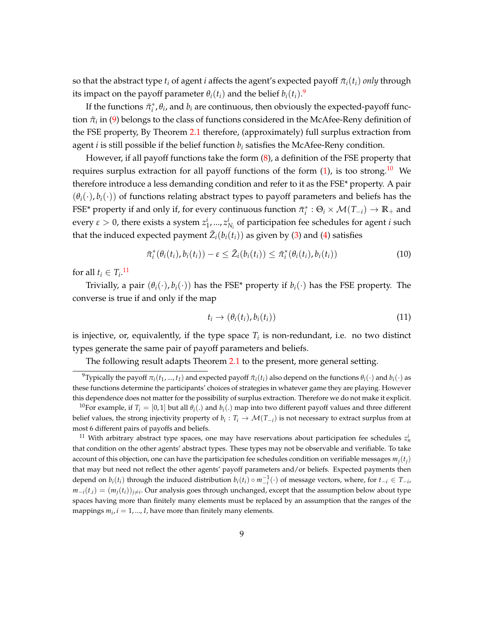so that the abstract type  $t_i$  of agent *i* affects the agent's expected payoff  $\bar{\pi}_i(t_i)$  *only* through its impact on the payoff parameter  $\theta_i(t_i)$  and the belief  $b_i(t_i)$ .

If the functions  $\bar{\pi}_i^*, \theta_i$ , and  $b_i$  are continuous, then obviously the expected-payoff function  $\bar{\pi}_i$  in [\(9\)](#page-9-2) belongs to the class of functions considered in the McAfee-Reny definition of the FSE property, By Theorem [2.1](#page-8-1) therefore, (approximately) full surplus extraction from agent *i* is still possible if the belief function *b<sup>i</sup>* satisfies the McAfee-Reny condition.

However, if all payoff functions take the form [\(8\)](#page-9-3), a definition of the FSE property that requires surplus extraction for all payoff functions of the form  $(1)$ , is too strong.<sup>[10](#page-10-1)</sup> We therefore introduce a less demanding condition and refer to it as the FSE\* property. A pair  $(\theta_i(\cdot), b_i(\cdot))$  of functions relating abstract types to payoff parameters and beliefs has the FSE\* property if and only if, for every continuous function  $\bar{\pi}_i^*$  :  $\Theta_i \times \mathcal{M}(T_{-i}) \to \mathbb{R}_+$  and every *ε* > 0, there exists a system  $z_1^i$ , ...,  $z_{N_i}^i$  of participation fee schedules for agent *i* such that the induced expected payment  $\bar{Z}_i(b_i(t_i))$  as given by [\(3\)](#page-7-0) and [\(4\)](#page-7-1) satisfies

<span id="page-10-5"></span>
$$
\bar{\pi}_i^*(\theta_i(t_i), b_i(t_i)) - \varepsilon \leq \bar{Z}_i(b_i(t_i)) \leq \bar{\pi}_i^*(\theta_i(t_i), b_i(t_i))
$$
\n(10)

for all  $t_i \in T_i$ .<sup>[11](#page-10-2)</sup>

Trivially, a pair  $(\theta_i(\cdot), b_i(\cdot))$  has the FSE\* property if  $b_i(\cdot)$  has the FSE property. The converse is true if and only if the map

<span id="page-10-3"></span>
$$
t_i \to (\theta_i(t_i), b_i(t_i)) \tag{11}
$$

is injective, or, equivalently, if the type space  $T_i$  is non-redundant, i.e. no two distinct types generate the same pair of payoff parameters and beliefs.

<span id="page-10-0"></span>The following result adapts Theorem [2.1](#page-8-1) to the present, more general setting.

<span id="page-10-4"></span> $^9$ Typically the payoff  $\pi_i(t_1,...,t_I)$  and expected payoff  $\pi_i(t_i)$  also depend on the functions  $\theta_i(\cdot)$  and  $b_i(\cdot)$  as these functions determine the participants' choices of strategies in whatever game they are playing. However this dependence does not matter for the possibility of surplus extraction. Therefore we do not make it explicit.

<span id="page-10-1"></span><sup>&</sup>lt;sup>10</sup>For example, if  $T_i = [0, 1]$  but all  $\theta_i(.)$  and  $b_i(.)$  map into two different payoff values and three different belief values, the strong injectivity property of  $b_i: T_i \to \mathcal{M}(T_{-i})$  is not necessary to extract surplus from at most 6 different pairs of payoffs and beliefs.

<span id="page-10-2"></span><sup>&</sup>lt;sup>11</sup> With arbitrary abstract type spaces, one may have reservations about participation fee schedules  $z_n^i$ that condition on the other agents' abstract types. These types may not be observable and verifiable. To take account of this objection, one can have the participation fee schedules condition on verifiable messages  $m_j(t_j)$ that may but need not reflect the other agents' payoff parameters and/or beliefs. Expected payments then depend on  $b_i(t_i)$  through the induced distribution  $b_i(t_i) \circ m_{-i}^{-1}(\cdot)$  of message vectors, where, for  $t_{-i} \in T_{-i}$ ,  $m_{-i}(t_{.i}) = (m_j(t_i))_{j \neq i}$ . Our analysis goes through unchanged, except that the assumption below about type spaces having more than finitely many elements must be replaced by an assumption that the ranges of the mappings  $m_i$ ,  $i = 1, ..., I$ , have more than finitely many elements.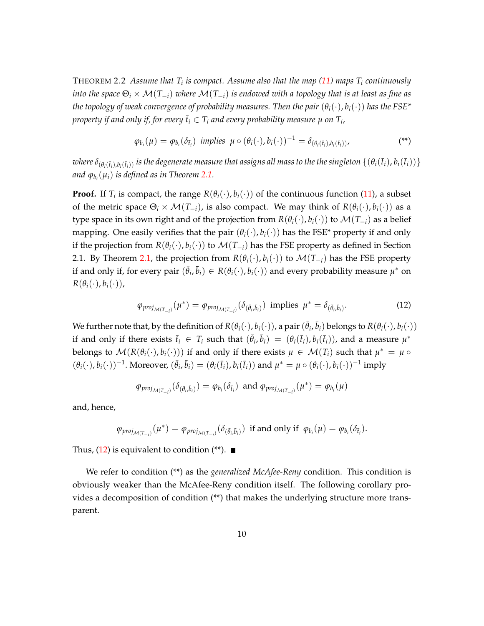THEOREM 2.2 Assume that  $T_i$  is compact. Assume also that the map [\(11\)](#page-10-3) maps  $T_i$  continuously *into the space*  $\Theta_i \times \mathcal{M}(T_{-i})$  *where*  $\mathcal{M}(T_{-i})$  *is endowed with a topology that is at least as fine as the topology of weak convergence of probability measures. Then the pair*  $(\theta_i(\cdot), b_i(\cdot))$  has the FSE<sup>\*</sup> *property if and only if, for every*  $\bar{t}_i \in T_i$  *and every probability measure*  $\mu$  *on*  $T_i$ *,* 

<span id="page-11-0"></span>
$$
\varphi_{b_i}(\mu) = \varphi_{b_i}(\delta_{\bar{t}_i}) \text{ implies } \mu \circ (\theta_i(\cdot), b_i(\cdot))^{-1} = \delta_{(\theta_i(\bar{t}_i), b_i(\bar{t}_i))},
$$
\n
$$
(*)
$$

where  $\delta_{(\theta_i(\bar{t}_i),b_i(\bar{t}_i))}$  is the degenerate measure that assigns all mass to the the singleton  $\{(\theta_i(\bar{t}_i),b_i(\bar{t}_i))\}$ *and ϕb<sup>i</sup>* (*µi*) *is defined as in Theorem [2.1.](#page-8-1)*

**Proof.** If  $T_i$  is compact, the range  $R(\theta_i(\cdot), b_i(\cdot))$  of the continuous function [\(11\)](#page-10-3), a subset of the metric space  $\Theta_i \times \mathcal{M}(T_{-i})$ , is also compact. We may think of  $R(\theta_i(\cdot), b_i(\cdot))$  as a type space in its own right and of the projection from  $R(\theta_i(\cdot), b_i(\cdot))$  to  $\mathcal{M}(T_{-i})$  as a belief mapping. One easily verifies that the pair  $(\theta_i(\cdot), b_i(\cdot))$  has the FSE<sup>\*</sup> property if and only if the projection from  $R(\theta_i(\cdot), b_i(\cdot))$  to  $\mathcal{M}(T_{-i})$  has the FSE property as defined in Section 2.1. By Theorem [2.1,](#page-8-1) the projection from  $R(\theta_i(\cdot), b_i(\cdot))$  to  $\mathcal{M}(T_{-i})$  has the FSE property if and only if, for every pair  $(\bar{\theta}_i, \bar{b}_i) \in R(\theta_i(\cdot), b_i(\cdot))$  and every probability measure  $\mu^*$  on  $R(\theta_i(\cdot), b_i(\cdot)),$ 

$$
\varphi_{proj_{\mathcal{M}(T_{-i})}}(\mu^*) = \varphi_{proj_{\mathcal{M}(T_{-i})}}(\delta_{(\bar{\theta}_i,\bar{b}_i)}) \text{ implies } \mu^* = \delta_{(\bar{\theta}_i,\bar{b}_i)}.
$$
\n(12)

We further note that, by the definition of  $R(\theta_i(\cdot), b_i(\cdot))$ , a pair  $(\bar{\theta}_i, \bar{b}_i)$  belongs to  $R(\theta_i(\cdot), b_i(\cdot))$ if and only if there exists  $\bar{t}_i \in T_i$  such that  $(\bar{\theta}_i, \bar{b}_i) = (\theta_i(\bar{t}_i), b_i(\bar{t}_i))$ , and a measure  $\mu^*$ belongs to  $\mathcal{M}(R(\theta_i(\cdot), b_i(\cdot)))$  if and only if there exists  $\mu \in \mathcal{M}(T_i)$  such that  $\mu^* = \mu \circ$  $(\theta_i(\cdot), b_i(\cdot))^{-1}$ . Moreover,  $(\bar{\theta}_i, \bar{b}_i) = (\theta_i(\bar{t}_i), b_i(\bar{t}_i))$  and  $\mu^* = \mu \circ (\theta_i(\cdot), b_i(\cdot))^{-1}$  imply

$$
\varphi_{proj_{\mathcal{M}(T_{-i})}}(\delta_{(\bar{\theta}_i,\bar{b}_i)}) = \varphi_{b_i}(\delta_{\bar{t}_i}) \text{ and } \varphi_{proj_{\mathcal{M}(T_{-i})}}(\mu^*) = \varphi_{b_i}(\mu)
$$

and, hence,

$$
\phi_{\text{proj}_{\mathcal{M}(T_{-i})}}(\mu^*) = \phi_{\text{proj}_{\mathcal{M}(T_{-i})}}(\delta_{(\bar{\theta}_i,\bar{b}_i)}) \text{ if and only if } \phi_{b_i}(\mu) = \phi_{b_i}(\delta_{\bar{t}_i}).
$$

Thus,  $(12)$  is equivalent to condition  $(*^*)$ .

We refer to condition (\*\*) as the *generalized McAfee-Reny* condition. This condition is obviously weaker than the McAfee-Reny condition itself. The following corollary provides a decomposition of condition (\*\*) that makes the underlying structure more transparent.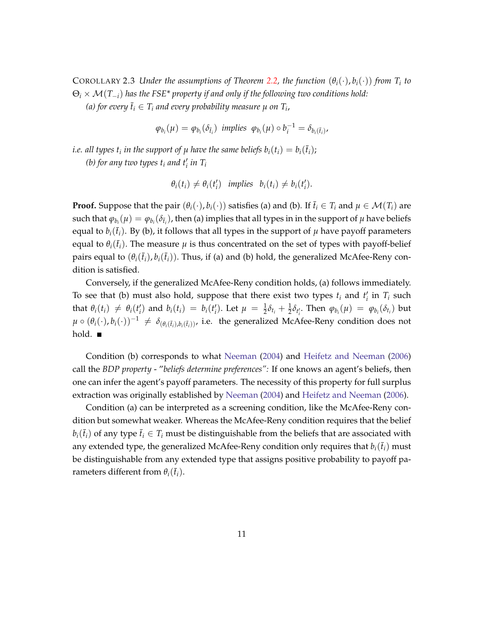COROLLARY 2.3 *Under the assumptions of Theorem [2.2,](#page-10-4) the function*  $(\theta_i(\cdot), b_i(\cdot))$  *from*  $T_i$  to Θ*<sup>i</sup>* × M(*T*−*i*) *has the FSE\* property if and only if the following two conditions hold: (a) for every*  $\bar{t}_i \in T_i$  *and every probability measure*  $\mu$  *on*  $T_i$ *,* 

 $\varphi_{b_i}(\mu) = \varphi_{b_i}(\delta_{\bar{t}_i})$  *implies*  $\varphi_{b_i}(\mu) \circ b_i^{-1} = \delta_{b_i(\bar{t}_i)}$ ,

*i.e. all types*  $t_i$  *in the support of*  $\mu$  *have the same beliefs*  $b_i(t_i) = b_i(\bar{t}_i)$ *;* 

*(b) for any two types*  $t_i$  *and*  $t'_i$  *in*  $T_i$ 

$$
\theta_i(t_i) \neq \theta_i(t'_i) \text{ implies } b_i(t_i) \neq b_i(t'_i).
$$

**Proof.** Suppose that the pair  $(\theta_i(\cdot), b_i(\cdot))$  satisfies (a) and (b). If  $\bar{t}_i \in T_i$  and  $\mu \in \mathcal{M}(T_i)$  are such that  $\varphi_{b_i}(\mu) = \varphi_{b_i}(\delta_{\bar{t}_i})$ , then (a) implies that all types in in the support of  $\mu$  have beliefs equal to  $b_i(\bar{t}_i)$ . By (b), it follows that all types in the support of  $\mu$  have payoff parameters equal to  $\theta_i(\bar{t}_i)$ . The measure  $\mu$  is thus concentrated on the set of types with payoff-belief pairs equal to  $(\theta_i(\bar{t}_i), b_i(\bar{t}_i))$ . Thus, if (a) and (b) hold, the generalized McAfee-Reny condition is satisfied.

Conversely, if the generalized McAfee-Reny condition holds, (a) follows immediately. To see that (b) must also hold, suppose that there exist two types  $t_i$  and  $t'_i$  in  $T_i$  such that  $\theta_i(t_i) \neq \theta_i(t'_i)$  and  $b_i(t_i) = b_i(t'_i)$ . Let  $\mu = \frac{1}{2}\delta_{t_i} + \frac{1}{2}\delta_{t'_i}$ . Then  $\varphi_{b_i}(\mu) = \varphi_{b_i}(\delta_{t_i})$  but *u* ◦ ( $\theta$ <sup>*i*</sup>(·), *b<sub>i</sub>*(·))<sup>−1</sup>  $\neq \delta_{(\theta_i(\bar{t}_i), b_i(\bar{t}_i))}$ , i.e. the generalized McAfee-Reny condition does not hold.  $\blacksquare$ 

Condition (b) corresponds to what [Neeman](#page-46-3) [\(2004\)](#page-46-3) and [Heifetz and Neeman](#page-46-1) [\(2006\)](#page-46-1) call the *BDP property* - "*beliefs determine preferences":* If one knows an agent's beliefs, then one can infer the agent's payoff parameters. The necessity of this property for full surplus extraction was originally established by [Neeman](#page-46-3) [\(2004\)](#page-46-3) and [Heifetz and Neeman](#page-46-1) [\(2006\)](#page-46-1).

Condition (a) can be interpreted as a screening condition, like the McAfee-Reny condition but somewhat weaker. Whereas the McAfee-Reny condition requires that the belief  $b_i(\bar{t}_i)$  of any type  $\bar{t}_i \in T_i$  must be distinguishable from the beliefs that are associated with any extended type, the generalized McAfee-Reny condition only requires that  $b_i(\bar{t}_i)$  must be distinguishable from any extended type that assigns positive probability to payoff parameters different from  $\theta_i(\bar{t}_i)$ .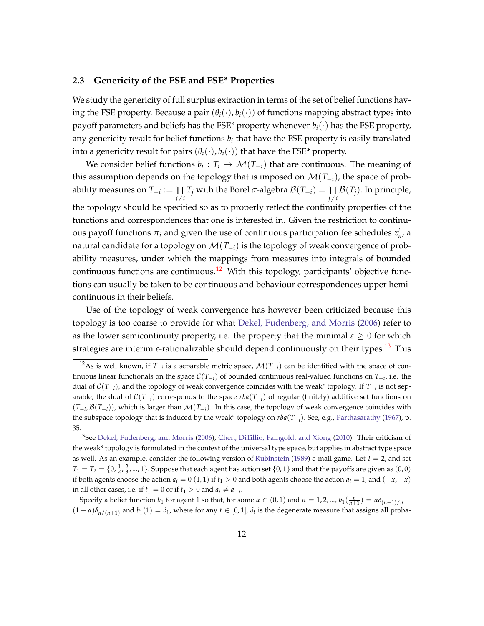#### <span id="page-13-0"></span>**2.3 Genericity of the FSE and FSE\* Properties**

We study the genericity of full surplus extraction in terms of the set of belief functions having the FSE property. Because a pair  $(\theta_i(\cdot), b_i(\cdot))$  of functions mapping abstract types into payoff parameters and beliefs has the FSE<sup>\*</sup> property whenever  $b_i(\cdot)$  has the FSE property, any genericity result for belief functions  $b_i$  that have the FSE property is easily translated into a genericity result for pairs  $(\theta_i(\cdot), b_i(\cdot))$  that have the FSE\* property.

We consider belief functions  $b_i: T_i \to \mathcal{M}(T_{-i})$  that are continuous. The meaning of this assumption depends on the topology that is imposed on M(*T*−*i*), the space of probability measures on *T*−*<sup>i</sup>* := ∏  $\prod\limits_{j\neq i}T_j$  with the Borel  $\sigma$ -algebra  $\mathcal{B}(T_{-i})=\prod\limits_{j\neq i}\mathcal{B}(T_j).$  In principle, the topology should be specified so as to properly reflect the continuity properties of the functions and correspondences that one is interested in. Given the restriction to continuous payoff functions  $\pi$ <sup>*i*</sup> and given the use of continuous participation fee schedules  $z$ <sup>*i*</sup><sub>*n*</sub>, a natural candidate for a topology on M(*T*−*i*) is the topology of weak convergence of probability measures, under which the mappings from measures into integrals of bounded continuous functions are continuous.<sup>[12](#page-13-1)</sup> With this topology, participants' objective functions can usually be taken to be continuous and behaviour correspondences upper hemicontinuous in their beliefs.

Use of the topology of weak convergence has however been criticized because this topology is too coarse to provide for what [Dekel, Fudenberg, and Morris](#page-45-4) [\(2006\)](#page-45-4) refer to as the lower semicontinuity property, i.e. the property that the minimal  $\epsilon \geq 0$  for which strategies are interim *ε*-rationalizable should depend continuously on their types.[13](#page-13-2) This

Specify a belief function  $b_1$  for agent 1 so that, for some  $\alpha \in (0,1)$  and  $n = 1,2,..., b_1(\frac{n}{n+1}) = \alpha \delta_{(n-1)/n}$  +  $(1 - \alpha)\delta_{n/(n+1)}$  and  $b_1(1) = \delta_1$ , where for any  $t \in [0, 1]$ ,  $\delta_t$  is the degenerate measure that assigns all proba-

<span id="page-13-1"></span><sup>&</sup>lt;sup>12</sup>As is well known, if  $T_{-i}$  is a separable metric space,  $\mathcal{M}(T_{-i})$  can be identified with the space of continuous linear functionals on the space C(*T*−*<sup>i</sup>* ) of bounded continuous real-valued functions on *T*−*<sup>i</sup>* , i.e. the dual of C(*T*−*<sup>i</sup>* ), and the topology of weak convergence coincides with the weak\* topology. If *T*−*<sup>i</sup>* is not separable, the dual of C(*T*−*<sup>i</sup>* ) corresponds to the space *rba*(*T*−*<sup>i</sup>* ) of regular (finitely) additive set functions on  $(T_{-i}, \mathcal{B}(T_{-i}))$ , which is larger than  $\mathcal{M}(T_{-i})$ . In this case, the topology of weak convergence coincides with the subspace topology that is induced by the weak\* topology on *rba*(*T*−*<sup>i</sup>* ). See, e.g., [Parthasarathy](#page-47-0) [\(1967\)](#page-47-0), p. 35.

<span id="page-13-2"></span><sup>&</sup>lt;sup>13</sup>See [Dekel, Fudenberg, and Morris](#page-45-4) [\(2006\)](#page-45-4), [Chen, DiTillio, Faingold, and Xiong](#page-45-7) [\(2010\)](#page-45-7). Their criticism of the weak\* topology is formulated in the context of the universal type space, but applies in abstract type space as well. As an example, consider the following version of [Rubinstein](#page-47-1) [\(1989\)](#page-47-1) e-mail game. Let *I* = 2, and set  $T_1 = T_2 = \{0, \frac{1}{2}, \frac{2}{3}, ..., 1\}$ . Suppose that each agent has action set  $\{0, 1\}$  and that the payoffs are given as  $(0, 0)$ if both agents choose the action  $a_i = 0$  (1, 1) if  $t_1 > 0$  and both agents choose the action  $a_i = 1$ , and  $(-x, -x)$ in all other cases, i.e. if  $t_1 = 0$  or if  $t_1 > 0$  and  $a_i \neq a_{-i}$ .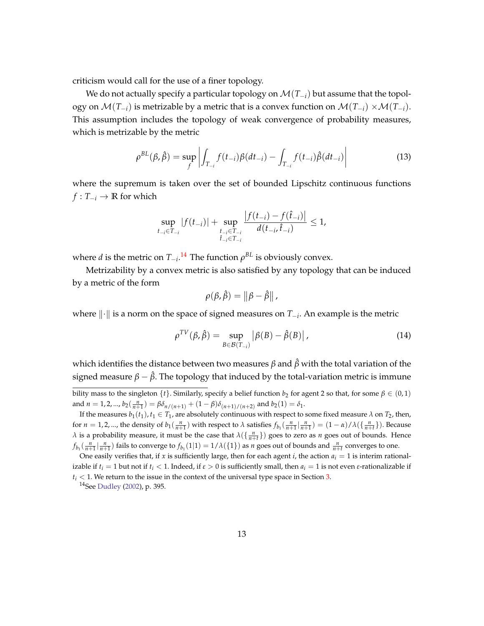criticism would call for the use of a finer topology.

We do not actually specify a particular topology on M(*T*−*i*) but assume that the topology on  $\mathcal{M}(T_{-i})$  is metrizable by a metric that is a convex function on  $\mathcal{M}(T_{-i}) \times \mathcal{M}(T_{-i})$ . This assumption includes the topology of weak convergence of probability measures, which is metrizable by the metric

$$
\rho^{BL}(\beta, \hat{\beta}) = \sup_{f} \left| \int_{T_{-i}} f(t_{-i}) \beta(dt_{-i}) - \int_{T_{-i}} f(t_{-i}) \hat{\beta}(dt_{-i}) \right| \tag{13}
$$

where the supremum is taken over the set of bounded Lipschitz continuous functions  $f: T_{-i} \to \mathbb{R}$  for which

$$
\sup_{t_{-i}\in T_{-i}}|f(t_{-i})| + \sup_{\substack{t_{-i}\in T_{-i}\\ \hat{t}_{-i}\in T_{-i}}} \frac{|f(t_{-i}) - f(\hat{t}_{-i})|}{d(t_{-i}, \hat{t}_{-i})} \leq 1,
$$

where *d* is the metric on  $T_{-i}$ .<sup>[14](#page-14-0)</sup> The function  $\rho^{BL}$  is obviously convex.

Metrizability by a convex metric is also satisfied by any topology that can be induced by a metric of the form

$$
\rho(\beta,\hat{\beta})=\left\|\beta-\hat{\beta}\right\|,
$$

where  $\|\cdot\|$  is a norm on the space of signed measures on *T*<sub>−*i*</sub>. An example is the metric

$$
\rho^{TV}(\beta, \hat{\beta}) = \sup_{B \in \mathcal{B}(T_{-i})} |\beta(B) - \hat{\beta}(B)|,
$$
\n(14)

which identifies the distance between two measures *β* and *β*ˆ with the total variation of the signed measure  $β - β$ . The topology that induced by the total-variation metric is immune

bility mass to the singleton  $\{t\}$ . Similarly, specify a belief function  $b_2$  for agent 2 so that, for some  $\beta \in (0,1)$ and  $n = 1, 2, ..., b_2(\frac{n}{n+1}) = \beta \delta_{n/(n+1)} + (1 - \beta) \delta_{(n+1)/(n+2)}$  and  $b_2(1) = \delta_1$ .

If the measures  $b_1(t_1)$ ,  $t_1 \in T_1$ , are absolutely continuous with respect to some fixed measure  $\lambda$  on  $T_2$ , then, for  $n = 1, 2, ...$ , the density of  $b_1(\frac{n}{n+1})$  with respect to  $\lambda$  satisfies  $f_{b_1}(\frac{n}{n+1}|\frac{n}{n+1}) = (1 - \alpha)/\lambda(\{\frac{n}{n+1}\})$ . Because *λ* is a probability measure, it must be the case that  $\lambda(\frac{n}{n+t})$  goes to zero as *n* goes out of bounds. Hence  $f_{b_1}(\frac{n}{n+1}|\frac{n}{n+1})$  fails to converge to  $f_{b_1}(1|1)=1/\lambda(\{1\})$  as *n* goes out of bounds and  $\frac{n}{n+t}$  converges to one.

One easily verifies that, if *x* is sufficiently large, then for each agent *i*, the action  $a_i = 1$  is interim rationalizable if  $t_i = 1$  but not if  $t_i < 1$ . Indeed, if  $ε > 0$  is sufficiently small, then  $a_i = 1$  is not even *ε*-rationalizable if  $t_i < 1$ . We return to the issue in the context of the universal type space in Section [3.](#page-24-0)

<span id="page-14-0"></span><sup>14</sup>See [Dudley](#page-45-8) [\(2002\)](#page-45-8), p. 395.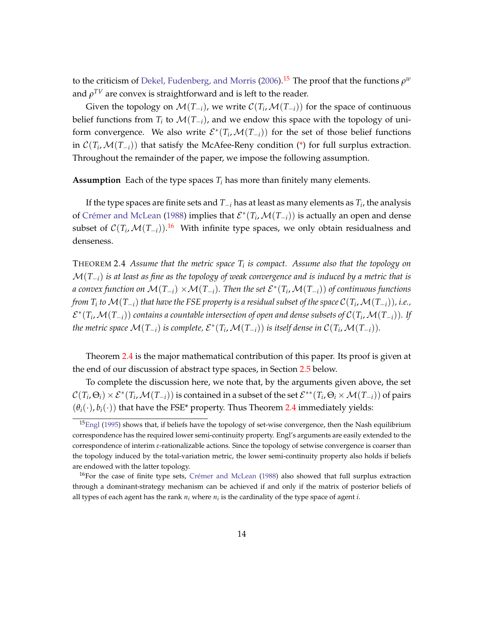to the criticism of [Dekel, Fudenberg, and Morris](#page-45-4) [\(2006\)](#page-45-4).<sup>[15](#page-15-0)</sup> The proof that the functions  $\rho^w$ and  $\rho^{TV}$  are convex is straightforward and is left to the reader.

Given the topology on  $\mathcal{M}(T_{-i})$ , we write  $\mathcal{C}(T_i,\mathcal{M}(T_{-i}))$  for the space of continuous belief functions from  $T_i$  to  $\mathcal{M}(T_{-i})$ , and we endow this space with the topology of uniform convergence. We also write  $\mathcal{E}^*(T_i,\mathcal{M}(T_{-i}))$  for the set of those belief functions in  $\mathcal{C}(T_i,\mathcal{M}(T_{-i}))$  that satisfy the McAfee-Reny condition [\(\\*\)](#page-8-2) for full surplus extraction. Throughout the remainder of the paper, we impose the following assumption.

**Assumption** Each of the type spaces  $T_i$  has more than finitely many elements.

If the type spaces are finite sets and *T*−*<sup>i</sup>* has at least as many elements as *T<sup>i</sup>* , the analysis of Crémer and McLean [\(1988\)](#page-45-0) implies that  $\mathcal{E}^*(T_i, \mathcal{M}(T_{-i}))$  is actually an open and dense subset of  $\mathcal{C}(T_i,\mathcal{M}(T_{-i}))$ .<sup>[16](#page-15-1)</sup> With infinite type spaces, we only obtain residualness and denseness.

<span id="page-15-2"></span>THEOREM 2.4 *Assume that the metric space T<sup>i</sup> is compact. Assume also that the topology on* M(*T*−*i*) *is at least as fine as the topology of weak convergence and is induced by a metric that is*  $a$  convex function on  $\mathcal{M}(T_{-i}) \times \mathcal{M}(T_{-i})$ . Then the set  $\mathcal{E}^*(T_i,\mathcal{M}(T_{-i}))$  of continuous functions *from T<sup>i</sup> to* M(*T*−*i*) *that have the FSE property is a residual subset of the space* C(*T<sup>i</sup>* ,M(*T*−*i*))*, i.e.,*  $\mathcal{E}^*(T_i,\mathcal{M}(T_{-i}))$  contains a countable intersection of open and dense subsets of  $\mathcal{C}(T_i,\mathcal{M}(T_{-i}))$ . If *the metric space*  $\mathcal{M}(T_{-i})$  *is complete,*  $\mathcal{E}^*(T_i,\mathcal{M}(T_{-i}))$  *is itself dense in*  $\mathcal{C}(T_i,\mathcal{M}(T_{-i})).$ 

Theorem [2.4](#page-15-2) is the major mathematical contribution of this paper. Its proof is given at the end of our discussion of abstract type spaces, in Section [2.5](#page-19-0) below.

To complete the discussion here, we note that, by the arguments given above, the set  $\mathcal{C}(T_i,\Theta_i)\times\mathcal{E}^*(T_i,\mathcal{M}(T_{-i}))$  is contained in a subset of the set  $\mathcal{E}^{**}(T_i,\Theta_i\times\mathcal{M}(T_{-i}))$  of pairs  $(\theta_i(\cdot), b_i(\cdot))$  that have the FSE\* property. Thus Theorem [2.4](#page-15-2) immediately yields:

<span id="page-15-3"></span><span id="page-15-0"></span> $15$ [Engl](#page-45-6) [\(1995\)](#page-45-6) shows that, if beliefs have the topology of set-wise convergence, then the Nash equilibrium correspondence has the required lower semi-continuity property. Engl's arguments are easily extended to the correspondence of interim *ε*-rationalizable actions. Since the topology of setwise convergence is coarser than the topology induced by the total-variation metric, the lower semi-continuity property also holds if beliefs are endowed with the latter topology.

<span id="page-15-1"></span> $16$ For the case of finite type sets, Crémer and McLean  $(1988)$  also showed that full surplus extraction through a dominant-strategy mechanism can be achieved if and only if the matrix of posterior beliefs of all types of each agent has the rank *n<sup>i</sup>* where *n<sup>i</sup>* is the cardinality of the type space of agent *i*.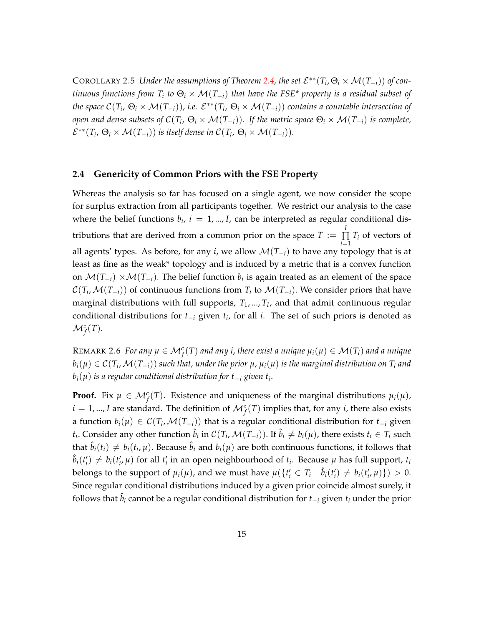COROLLARY 2.5 *Under the assumptions of Theorem [2.4,](#page-15-2) the set*  $\mathcal{E}^{**}(T_i,\Theta_i \times \mathcal{M}(T_{-i}))$  *of continuous functions from T<sup>i</sup> to* Θ*<sup>i</sup>* × M(*T*−*i*) *that have the FSE\* property is a residual subset of the space*  $\mathcal{C}(T_i,\,\Theta_i\times\mathcal{M}(T_{-i}))$ *, i.e.*  $\mathcal{E}^{**}(T_i,\,\Theta_i\times\mathcal{M}(T_{-i}))$  contains a countable intersection of *open and dense subsets of* C(*T<sup>i</sup>* , Θ*<sup>i</sup>* × M(*T*−*i*))*. If the metric space* Θ*<sup>i</sup>* × M(*T*−*i*) *is complete,*  $\mathcal{E}^{**}(T_i, \Theta_i \times \mathcal{M}(T_{-i}))$  is itself dense in  $\mathcal{C}(T_i, \Theta_i \times \mathcal{M}(T_{-i})).$ 

#### <span id="page-16-0"></span>**2.4 Genericity of Common Priors with the FSE Property**

Whereas the analysis so far has focused on a single agent, we now consider the scope for surplus extraction from all participants together. We restrict our analysis to the case where the belief functions  $b_i$ ,  $i = 1, ..., I$ , can be interpreted as regular conditional distributions that are derived from a common prior on the space  $T := \prod_{i=1}^{n}$ ∏  $\prod_{i=1}$  *T<sub>i</sub>* of vectors of all agents' types. As before, for any *i*, we allow  $\mathcal{M}(T_{-i})$  to have any topology that is at least as fine as the weak\* topology and is induced by a metric that is a convex function on  $\mathcal{M}(T_{-i}) \times \mathcal{M}(T_{-i})$ . The belief function  $b_i$  is again treated as an element of the space  $\mathcal{C}(T_i,\mathcal{M}(T_{-i}))$  of continuous functions from  $T_i$  to  $\mathcal{M}(T_{-i})$ . We consider priors that have marginal distributions with full supports, *T*1, ..., *T<sup>I</sup>* , and that admit continuous regular conditional distributions for *t*−*<sup>i</sup>* given *t<sup>i</sup>* , for all *i*. The set of such priors is denoted as  $\mathcal{M}_f^c(T)$ .

 $\mathsf{REMARK}$  2.6 *For any*  $\mu \in \mathcal{M}_f^c(T)$  *and any i, there exist a unique*  $\mu_i(\mu) \in \mathcal{M}(T_i)$  *and a unique*  $b_i(\mu)\in\mathcal{C}(T_i,\mathcal{M}(T_{-i}))$  such that, under the prior  $\mu$ ,  $\mu_i(\mu)$  is the marginal distribution on  $T_i$  and *bi*(*µ*) *is a regular conditional distribution for t*−*<sup>i</sup> given t<sup>i</sup>* .

**Proof.** Fix  $\mu \in \mathcal{M}_f^c(T)$ . Existence and uniqueness of the marginal distributions  $\mu_i(\mu)$ ,  $i = 1, ..., I$  are standard. The definition of  $\mathcal{M}_f^c(T)$  implies that, for any *i*, there also exists a function  $b_i(\mu) \in \mathcal{C}(T_i,\mathcal{M}(T_{-i}))$  that is a regular conditional distribution for  $t_{-i}$  given  $t_i$ . Consider any other function  $\hat{b}_i$  in  $\mathcal{C}(T_i,\mathcal{M}(T_{-i}))$ . If  $\hat{b}_i\neq b_i(\mu)$ , there exists  $t_i\in T_i$  such that  $\hat{b}_i(t_i) \neq b_i(t_i, \mu)$ . Because  $\hat{b}_i$  and  $b_i(\mu)$  are both continuous functions, it follows that  $\hat{b}_i(t'_i) \neq b_i(t'_i, \mu)$  for all  $t'_i$  in an open neighbourhood of  $t_i$ . Because  $\mu$  has full support,  $t_i$ belongs to the support of  $\mu_i(\mu)$ , and we must have  $\mu(\lbrace t'_i \in T_i \mid \hat{b}_i(t'_i) \neq b_i(t'_i, \mu) \rbrace) > 0$ . Since regular conditional distributions induced by a given prior coincide almost surely, it follows that  $\hat{b}_i$  cannot be a regular conditional distribution for  $t_{-i}$  given  $t_i$  under the prior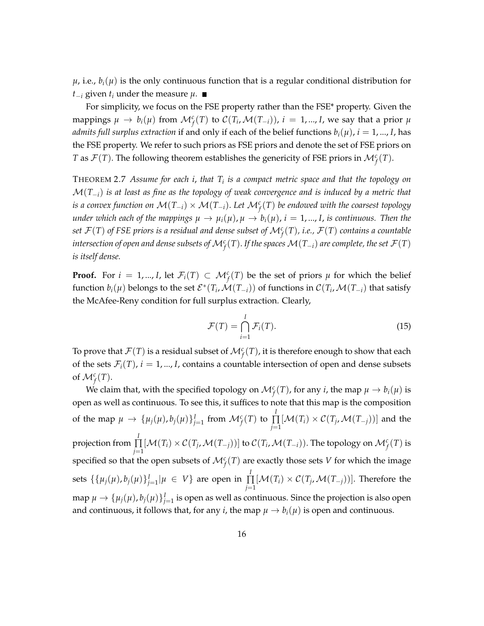$\mu$ , i.e.,  $b_i(\mu)$  is the only continuous function that is a regular conditional distribution for *t*−*i* given *t*<sub>*i*</sub> under the measure  $\mu$ . ■

For simplicity, we focus on the FSE property rather than the FSE\* property. Given the mappings  $\mu \to b_i(\mu)$  from  $\mathcal{M}_f^c(T)$  to  $\mathcal{C}(T_i,\mathcal{M}(T_{-i})), i = 1,...,I$ , we say that a prior  $\mu$ *admits full surplus extraction* if and only if each of the belief functions  $b_i(\mu)$ ,  $i = 1, ..., I$ , has the FSE property. We refer to such priors as FSE priors and denote the set of FSE priors on *T* as  $\mathcal{F}(T)$ . The following theorem establishes the genericity of FSE priors in  $\mathcal{M}_f^c(T)$ .

<span id="page-17-1"></span>THEOREM 2.7 *Assume for each i*, *that T<sup>i</sup> is a compact metric space and that the topology on* M(*T*−*i*) *is at least as fine as the topology of weak convergence and is induced by a metric that is a convex function on* M(*T*−*i*) × M(*T*−*i*). *Let* M*<sup>c</sup> f* (*T*) *be endowed with the coarsest topology under which each of the mappings*  $\mu \to \mu_i(\mu)$ ,  $\mu \to b_i(\mu)$ ,  $i = 1, ..., I$ , *is continuous. Then the set*  $\mathcal{F}(T)$  *of FSE priors is a residual and dense subset of*  $\mathcal{M}_f^c(T)$ *, i.e.,*  $\mathcal{F}(T)$  *contains a countable*  $i$ ntersection of open and dense subsets of  $\mathcal{M}_f^c(T).$  If the spaces  $\mathcal{M}(T_{-i})$  are complete, the set  $\mathcal{F}(T)$ *is itself dense.*

**Proof.** For  $i = 1, ..., I$ , let  $\mathcal{F}_i(T) \subset \mathcal{M}_f^c(T)$  be the set of priors  $\mu$  for which the belief  $f$ unction  $b_i(\mu)$  belongs to the set  $\mathcal{E}^*(T_i,\mathcal{M}(T_{-i}))$  of functions in  $\mathcal{C}(T_i,\mathcal{M}(T_{-i})$  that satisfy the McAfee-Reny condition for full surplus extraction. Clearly,

<span id="page-17-0"></span>
$$
\mathcal{F}(T) = \bigcap_{i=1}^{I} \mathcal{F}_i(T). \tag{15}
$$

To prove that  $\mathcal{F}(T)$  is a residual subset of  $\mathcal{M}_f^c(T)$ , it is therefore enough to show that each of the sets  $\mathcal{F}_i(T)$ ,  $i = 1, ..., I$ , contains a countable intersection of open and dense subsets of  $\mathcal{M}_f^c(T)$ .

We claim that, with the specified topology on  $\mathcal{M}_f^c(T)$ , for any *i*, the map  $\mu \to b_i(\mu)$  is open as well as continuous. To see this, it suffices to note that this map is the composition of the map  $\mu \rightarrow \{\mu_j(\mu), b_j(\mu)\}_{j=1}^I$  from  $\mathcal{M}_f^c(T)$  to  $\prod^I$ ∏  $\prod_{j=1} [\mathcal{M}(T_i) \times \mathcal{C}(T_j, \mathcal{M}(T_{-j}))]$  and the projection from *I* ∏  $\prod_{j=1}^r [M(T_i) \times C(T_j, \mathcal{M}(T_{-j}))]$  to  $C(T_i, \mathcal{M}(T_{-i}))$ . The topology on  $\mathcal{M}_f^c(T)$  is specified so that the open subsets of  $\mathcal{M}_f^c(T)$  are exactly those sets *V* for which the image sets  $\{\{\mu_j(\mu), b_j(\mu)\}_{j=1}^I|\mu \in V\}$  are open in  $\prod^I$ ∏  $\prod_{j=1} [M(T_i) \times C(T_j, \mathcal{M}(T_{-j}))]$ . Therefore the map  $\mu \to \{\mu_j(\mu), b_j(\mu)\}_{j=1}^I$  is open as well as continuous. Since the projection is also open and continuous, it follows that, for any *i*, the map  $\mu \rightarrow b_i(\mu)$  is open and continuous.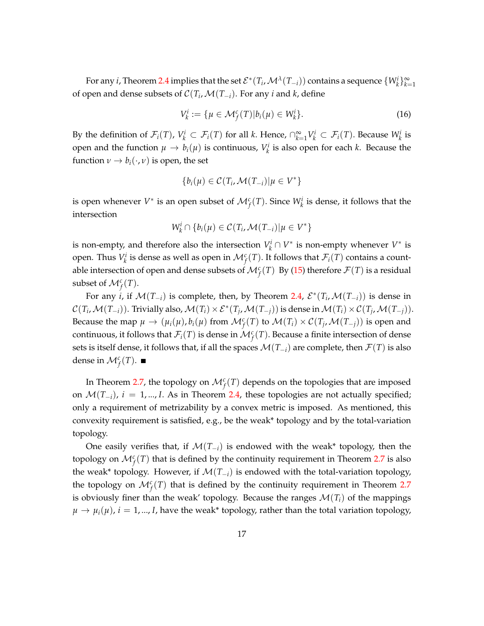For any *i*, Theorem [2.4](#page-15-2) implies that the set  $\mathcal{E}^*(T_i,\mathcal{M}^{\lambda}(T_{-i}))$  contains a sequence  $\{W_k^i\}_{k=1}^{\infty}$ of open and dense subsets of  $C(T_i, \mathcal{M}(T_{-i})$ . For any *i* and *k*, define

$$
V_k^i := \{ \mu \in \mathcal{M}_f^c(T) | b_i(\mu) \in W_k^i \}. \tag{16}
$$

By the definition of  $\mathcal{F}_i(T)$ ,  $V_k^i \subset \mathcal{F}_i(T)$  for all *k*. Hence,  $\bigcap_{k=1}^{\infty} V_k^i \subset \mathcal{F}_i(T)$ . Because  $W_k^i$  is open and the function  $\mu \to b_i(\mu)$  is continuous,  $V^i_k$  is also open for each *k*. Because the function  $\nu \rightarrow b_i(\cdot, \nu)$  is open, the set

$$
\{b_i(\mu) \in \mathcal{C}(T_i, \mathcal{M}(T_{-i}) | \mu \in V^*\}
$$

is open whenever  $V^*$  is an open subset of  $\mathcal{M}_f^c(T)$ . Since  $W_k^i$  is dense, it follows that the intersection

$$
W_k^i \cap \{b_i(\mu) \in \mathcal{C}(T_i, \mathcal{M}(T_{-i}) | \mu \in V^*\}
$$

is non-empty, and therefore also the intersection  $V_k^i \cap V^*$  is non-empty whenever  $V^*$  is open. Thus  $V_k^i$  is dense as well as open in  $\mathcal{M}_f^c(T)$ . It follows that  $\mathcal{F}_i(T)$  contains a countable intersection of open and dense subsets of  $\mathcal{M}_f^c(T)$  By [\(15\)](#page-17-0) therefore  $\mathcal{F}(T)$  is a residual subset of  $\mathcal{M}_f^c(T)$ .

For any *i*, if  $\mathcal{M}(T_{-i})$  is complete, then, by Theorem [2.4,](#page-15-2)  $\mathcal{E}^*(T_i, \mathcal{M}(T_{-i}))$  is dense in  $\mathcal{C}(T_i,\mathcal{M}(T_{-i}))$ . Trivially also,  $\mathcal{M}(T_i) \times \mathcal{E}^*(T_j,\mathcal{M}(T_{-j}))$  is dense in  $\mathcal{M}(T_i) \times \mathcal{C}(T_j,\mathcal{M}(T_{-j}))$ . Because the map  $\mu \to (\mu_i(\mu), b_i(\mu))$  from  $\mathcal{M}_f^c(T)$  to  $\mathcal{M}(T_i) \times \mathcal{C}(T_j, \mathcal{M}(T_{-j}))$  is open and continuous, it follows that  $\mathcal{F}_i(T)$  is dense in  $\mathcal{M}_f^c(T)$ . Because a finite intersection of dense sets is itself dense, it follows that, if all the spaces  $\mathcal{M}(T_{-i})$  are complete, then  $\mathcal{F}(T)$  is also dense in  $\mathcal{M}_f^c(T)$ .

In Theorem [2.7,](#page-17-1) the topology on  $\mathcal{M}_f^c(T)$  depends on the topologies that are imposed on  $\mathcal{M}(T_{-i})$ ,  $i = 1, ..., I$ . As in Theorem [2.4,](#page-15-2) these topologies are not actually specified; only a requirement of metrizability by a convex metric is imposed. As mentioned, this convexity requirement is satisfied, e.g., be the weak\* topology and by the total-variation topology.

One easily verifies that, if M(*T*−*i*) is endowed with the weak\* topology, then the topology on  $\mathcal{M}_f^c(T)$  that is defined by the continuity requirement in Theorem [2.7](#page-17-1) is also the weak\* topology. However, if  $\mathcal{M}(T_{-i})$  is endowed with the total-variation topology, the topology on  $\mathcal{M}_f^c(T)$  that is defined by the continuity requirement in Theorem [2.7](#page-17-1) is obviously finer than the weak' topology. Because the ranges  $\mathcal{M}(T_i)$  of the mappings  $\mu \rightarrow \mu_i(\mu)$ ,  $i = 1, ..., I$ , have the weak\* topology, rather than the total variation topology,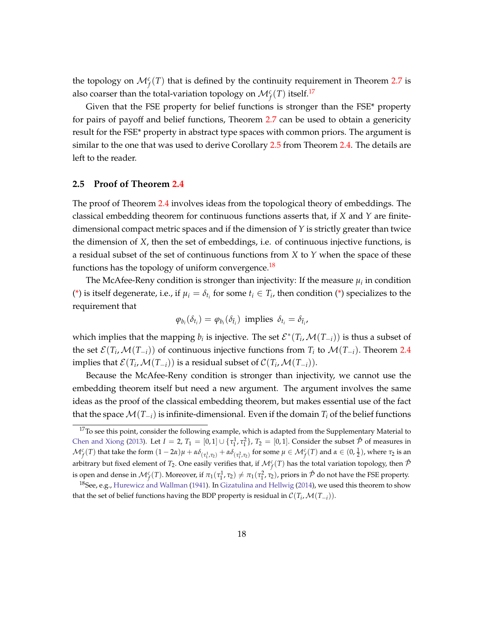the topology on  $\mathcal{M}_f^c(T)$  that is defined by the continuity requirement in Theorem [2.7](#page-17-1) is also coarser than the total-variation topology on  $\mathcal{M}_f^c(T)$  itself.<sup>[17](#page-19-1)</sup>

Given that the FSE property for belief functions is stronger than the FSE\* property for pairs of payoff and belief functions, Theorem [2.7](#page-17-1) can be used to obtain a genericity result for the FSE\* property in abstract type spaces with common priors. The argument is similar to the one that was used to derive Corollary [2.5](#page-15-3) from Theorem [2.4.](#page-15-2) The details are left to the reader.

#### <span id="page-19-0"></span>**2.5 Proof of Theorem [2.4](#page-15-2)**

The proof of Theorem [2.4](#page-15-2) involves ideas from the topological theory of embeddings. The classical embedding theorem for continuous functions asserts that, if *X* and *Y* are finitedimensional compact metric spaces and if the dimension of *Y* is strictly greater than twice the dimension of *X*, then the set of embeddings, i.e. of continuous injective functions, is a residual subset of the set of continuous functions from *X* to *Y* when the space of these functions has the topology of uniform convergence.<sup>[18](#page-19-2)</sup>

The McAfee-Reny condition is stronger than injectivity: If the measure  $\mu_i$  in condition [\(\\*\)](#page-8-2) is itself degenerate, i.e., if  $\mu_i = \delta_{t_i}$  for some  $t_i \in T_i$ , then condition (\*) specializes to the requirement that

$$
\varphi_{b_i}(\delta_{t_i}) = \varphi_{b_i}(\delta_{\bar{t}_i})
$$
 implies  $\delta_{t_i} = \delta_{\bar{t}_i}$ ,

which implies that the mapping  $b_i$  is injective. The set  $\mathcal{E}^*(T_i, \mathcal{M}(T_{-i}))$  is thus a subset of the set  $\mathcal{E}(T_i,\mathcal{M}(T_{-i}))$  of continuous injective functions from  $T_i$  to  $\mathcal{M}(T_{-i})$ . Theorem [2.4](#page-15-2) implies that  $\mathcal{E}(T_i,\mathcal{M}(T_{-i}))$  is a residual subset of  $\mathcal{C}(T_i,\mathcal{M}(T_{-i})).$ 

Because the McAfee-Reny condition is stronger than injectivity, we cannot use the embedding theorem itself but need a new argument. The argument involves the same ideas as the proof of the classical embedding theorem, but makes essential use of the fact that the space  $\mathcal{M}(T_{-i})$  is infinite-dimensional. Even if the domain  $T_i$  of the belief functions

<span id="page-19-1"></span><sup>&</sup>lt;sup>17</sup>To see this point, consider the following example, which is adapted from the Supplementary Material to [Chen and Xiong](#page-45-1) [\(2013\)](#page-45-1). Let  $I = 2$ ,  $T_1 = [0, 1] \cup \{ \tau_1^1, \tau_1^2 \}$ ,  $T_2 = [0, 1]$ . Consider the subset  $\hat{\mathcal{P}}$  of measures in  $\mathcal{M}_f^c(T)$  that take the form  $(1-2\alpha)\mu + \alpha\delta_{(\tau_1^1,\tau_2)} + \alpha\delta_{(\tau_1^2,\tau_2)}$  for some  $\mu \in \mathcal{M}_f^c(T)$  and  $\alpha \in (0,\frac{1}{2})$ , where  $\tau_2$  is an arbitrary but fixed element of  $T_2$ . One easily verifies that, if  $\mathcal{M}_f^c(T)$  has the total variation topology, then  $\hat{\mathcal{P}}$ is open and dense in  $\mathcal{M}_f^c(T)$ . Moreover, if  $\pi_1(\tau_1^1,\tau_2)\neq \pi_1(\tau_1^2,\tau_2)$ , priors in  $\hat{\mathcal{P}}$  do not have the FSE property.

<span id="page-19-2"></span><sup>&</sup>lt;sup>18</sup>See, e.g., [Hurewicz and Wallman](#page-46-5) [\(1941\)](#page-46-5). In [Gizatulina and Hellwig](#page-46-2) [\(2014\)](#page-46-2), we used this theorem to show that the set of belief functions having the BDP property is residual in  $\mathcal{C}(T_i, \mathcal{M}(T_{-i}))$ .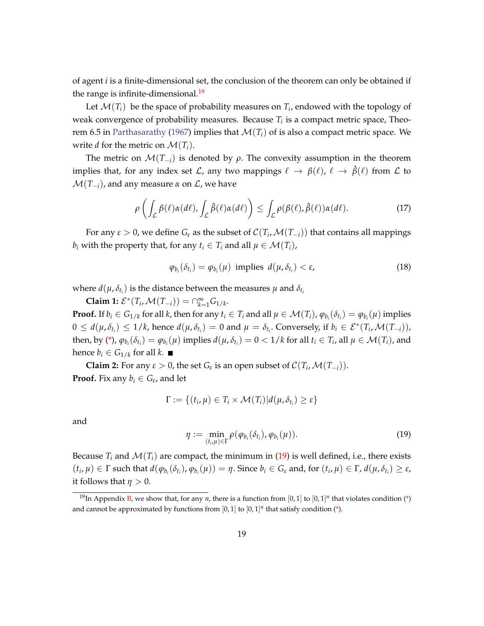of agent *i* is a finite-dimensional set, the conclusion of the theorem can only be obtained if the range is infinite-dimensional.<sup>[19](#page-20-0)</sup>

Let  $\mathcal{M}(T_i)$  be the space of probability measures on  $T_i$ , endowed with the topology of weak convergence of probability measures. Because *T<sup>i</sup>* is a compact metric space, Theo-rem 6.5 in [Parthasarathy](#page-47-0) [\(1967\)](#page-47-0) implies that  $\mathcal{M}(T_i)$  of is also a compact metric space. We write *d* for the metric on  $\mathcal{M}(T_i)$ .

The metric on  $\mathcal{M}(T_{-i})$  is denoted by  $\rho$ . The convexity assumption in the theorem implies that, for any index set  $\mathcal L$ , any two mappings  $\ell \to \beta(\ell)$ ,  $\ell \to \hat{\beta}(\ell)$  from  $\mathcal L$  to  $\mathcal{M}(T_{-i})$ , and any measure  $\alpha$  on  $\mathcal{L}$ , we have

<span id="page-20-2"></span>
$$
\rho\left(\int_{\mathcal{L}}\beta(\ell)\alpha(d\ell),\int_{\mathcal{L}}\hat{\beta}(\ell)\alpha(d\ell)\right)\leq \int_{\mathcal{L}}\rho(\beta(\ell),\hat{\beta}(\ell))\alpha(d\ell).
$$
\n(17)

For any  $\varepsilon > 0$ , we define  $G_{\varepsilon}$  as the subset of  $\mathcal{C}(T_i,\mathcal{M}(T_{-i}))$  that contains all mappings *b*<sub>*i*</sub> with the property that, for any  $t_i \in T_i$  and all  $\mu \in \mathcal{M}(T_i)$ ,

$$
\varphi_{b_i}(\delta_{t_i}) = \varphi_{b_i}(\mu) \text{ implies } d(\mu, \delta_{t_i}) < \varepsilon,
$$
\n(18)

where  $d(\mu, \delta_{t_i})$  is the distance between the measures  $\mu$  and  $\delta_{t_i}$ 

**Claim 1:**  $\mathcal{E}^*(T_i, \mathcal{M}(T_{-i})) = \bigcap_{k=1}^{\infty} G_{1/k}$ .

**Proof.** If  $b_i \in G_{1/k}$  for all k, then for any  $t_i \in T_i$  and all  $\mu \in \mathcal{M}(T_i)$ ,  $\varphi_{b_i}(\delta_{t_i}) = \varphi_{b_i}(\mu)$  implies  $0 \le d(\mu, \delta_{t_i}) \le 1/k$ , hence  $d(\mu, \delta_{t_i}) = 0$  and  $\mu = \delta_{t_i}$ . Conversely, if  $b_i \in \mathcal{E}^*(T_i, \mathcal{M}(T_{-i})),$ then, by [\(\\*\)](#page-8-2),  $\varphi_{b_i}(\delta_{t_i}) = \varphi_{b_i}(\mu)$  implies  $d(\mu, \delta_{t_i}) = 0 < 1/k$  for all  $t_i \in T_i$ , all  $\mu \in \mathcal{M}(T_i)$ , and hence  $b_i \in G_{1/k}$  for all *k*.

**Claim 2:** For any  $\varepsilon > 0$ , the set  $G_{\varepsilon}$  is an open subset of  $\mathcal{C}(T_i, \mathcal{M}(T_{-i}))$ . **Proof.** Fix any  $b_i \in G_{\varepsilon}$ , and let

$$
\Gamma := \{(t_i, \mu) \in T_i \times \mathcal{M}(T_i) | d(\mu, \delta_{t_i}) \geq \varepsilon\}
$$

and

<span id="page-20-1"></span>
$$
\eta := \min_{(t_i,\mu)\in\Gamma} \rho(\varphi_{b_i}(\delta_{t_i}),\varphi_{b_i}(\mu)). \tag{19}
$$

Because  $T_i$  and  $\mathcal{M}(T_i)$  are compact, the minimum in [\(19\)](#page-20-1) is well defined, i.e., there exists  $(t_i,\mu)\in \Gamma$  such that  $d(\varphi_{b_i}(\delta_{t_i}),\varphi_{b_i}(\mu))=\eta.$  Since  $b_i\in G_{\varepsilon}$  and, for  $(t_i,\mu)\in \Gamma$ ,  $d(\mu,\delta_{t_i})\geq \varepsilon$ , it follows that  $\eta > 0$ .

<span id="page-20-0"></span><sup>&</sup>lt;sup>19</sup>In Appendix **B**, we show that, for any *n*, there is a function from [0, 1] to [0, 1]<sup>*n*</sup> that violates condition [\(\\*\)](#page-8-2) and cannot be approximated by functions from  $[0,1]$  to  $[0,1]^n$  that satisfy condition [\(\\*\)](#page-8-2).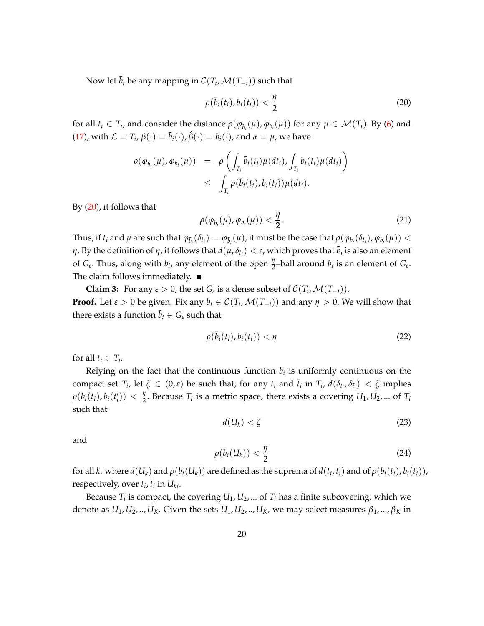Now let  $\bar{b}_i$  be any mapping in  $\mathcal{C}(T_i,\mathcal{M}(T_{-i}))$  such that

<span id="page-21-0"></span>
$$
\rho(\bar{b}_i(t_i), b_i(t_i)) < \frac{\eta}{2} \tag{20}
$$

for all  $t_i \in T_i$ , and consider the distance  $\rho(\varphi_{\bar{b}_i}(\mu), \varphi_{b_i}(\mu))$  for any  $\mu \in \mathcal{M}(T_i)$ . By [\(6\)](#page-8-3) and [\(17\)](#page-20-2), with  $\mathcal{L} = T_i$ ,  $\beta(\cdot) = \bar{b}_i(\cdot)$ ,  $\hat{\beta}(\cdot) = b_i(\cdot)$ , and  $\alpha = \mu$ , we have

$$
\rho(\varphi_{\bar{b}_i}(\mu), \varphi_{b_i}(\mu)) = \rho\left(\int_{T_i} \bar{b}_i(t_i)\mu(dt_i), \int_{T_i} b_i(t_i)\mu(dt_i)\right) \leq \int_{T_i} \rho(\bar{b}_i(t_i), b_i(t_i))\mu(dt_i).
$$

By [\(20\)](#page-21-0), it follows that

$$
\rho(\varphi_{\bar{b}_i}(\mu),\varphi_{b_i}(\mu)) < \frac{\eta}{2}.
$$
\n(21)

Thus, if  $t_i$  and  $\mu$  are such that  $\varphi_{\bar b_i}(\delta_{t_i})=\varphi_{\bar b_i}(\mu)$ , it must be the case that  $\rho(\varphi_{b_i}(\delta_{t_i}),\varphi_{b_i}(\mu))<\pi$ *η*. By the definition of *η*, it follows that  $d(\mu, \delta_{t_i}) < \varepsilon$ , which proves that  $\bar{b}_i$  is also an element of  $G_{\varepsilon}$ . Thus, along with  $b_i$ , any element of the open  $\frac{\eta}{2}$ -ball around  $b_i$  is an element of  $G_{\varepsilon}$ . The claim follows immediately.  $\blacksquare$ 

**Claim 3:** For any  $\varepsilon > 0$ , the set  $G_{\varepsilon}$  is a dense subset of  $\mathcal{C}(T_i, \mathcal{M}(T_{-i}))$ . **Proof.** Let  $\varepsilon > 0$  be given. Fix any  $b_i \in C(T_i, \mathcal{M}(T_{-i}))$  and any  $\eta > 0$ . We will show that there exists a function  $\bar{b}_i \in G_{\varepsilon}$  such that

<span id="page-21-1"></span>
$$
\rho(\bar{b}_i(t_i), b_i(t_i)) < \eta \tag{22}
$$

for all  $t_i \in T_i$ .

Relying on the fact that the continuous function  $b_i$  is uniformly continuous on the compact set  $T_i$ , let  $\zeta \in (0,\varepsilon)$  be such that, for any  $t_i$  and  $\bar{t}_i$  in  $T_i$ ,  $d(\delta_{t_i}, \delta_{\bar{t}_i}) < \zeta$  implies  $\rho(b_i(t_i), b_i(t'_i)) < \frac{\eta}{2}$  $\frac{q}{2}$ . Because  $T_i$  is a metric space, there exists a covering  $U_1, U_2, ...$  of  $T_i$ such that

<span id="page-21-3"></span>
$$
d(U_k) < \zeta \tag{23}
$$

and

<span id="page-21-2"></span>
$$
\rho(b_i(U_k)) < \frac{\eta}{2} \tag{24}
$$

for all  $k.$  where  $d(U_k)$  and  $\rho(b_i(U_k))$  are defined as the suprema of  $d(t_i,\bar{t}_i)$  and of  $\rho(b_i(t_i),b_i(\bar{t}_i))$ , respectively, over  $t_i$ ,  $\bar{t}_i$  in  $U_{ki}$ .

Because  $T_i$  is compact, the covering  $U_1, U_2, ...$  of  $T_i$  has a finite subcovering, which we denote as  $U_1, U_2, \ldots, U_K$ . Given the sets  $U_1, U_2, \ldots, U_K$ , we may select measures  $\beta_1, \ldots, \beta_K$  in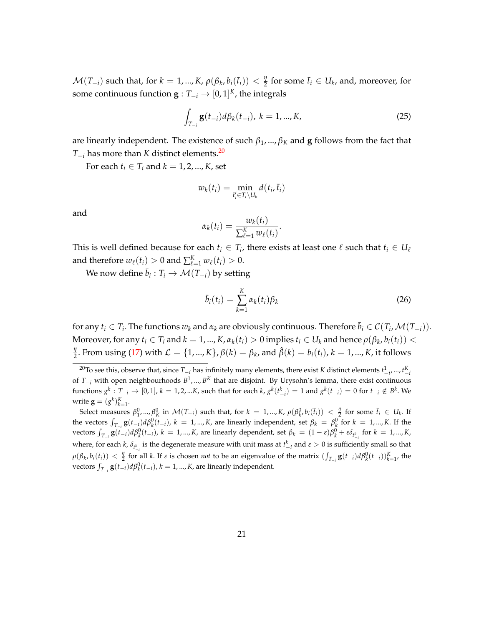$\mathcal{M}(T_{-i})$  such that, for  $k = 1, ..., K$ ,  $\rho(\beta_k, b_i(\bar{t}_i)) < \frac{\eta}{2}$  $\frac{\eta}{2}$  for some  $\bar{t}_i \in U_k$ , and, moreover, for some continuous function  $\mathbf{g}: T_{-i} \to [0,1]^K$ , the integrals

<span id="page-22-1"></span>
$$
\int_{T_{-i}} \mathbf{g}(t_{-i}) d\beta_k(t_{-i}), \ k = 1, ..., K,
$$
\n(25)

are linearly independent. The existence of such  $\beta_1$ , ...,  $\beta_K$  and **g** follows from the fact that *T*−*<sup>i</sup>* has more than *K* distinct elements.[20](#page-22-0)

For each  $t_i \in T_i$  and  $k = 1, 2, ..., K$ , set

$$
w_k(t_i) = \min_{\bar{t}'_i \in T_i \setminus U_k} d(t_i, \bar{t}_i)
$$

and

$$
\alpha_k(t_i) = \frac{w_k(t_i)}{\sum_{\ell=1}^K w_\ell(t_i)}.
$$

This is well defined because for each  $t_i \in T_i$ , there exists at least one  $\ell$  such that  $t_i \in U_\ell$ and therefore  $w_{\ell}(t_i) > 0$  and  $\sum_{\ell=1}^{K} w_{\ell}(t_i) > 0$ .

We now define  $\bar{b}_i: T_i \to \mathcal{M}(T_{-i})$  by setting

$$
\bar{b}_i(t_i) = \sum_{k=1}^K \alpha_k(t_i) \beta_k
$$
\n(26)

for any  $t_i \in T_i$ . The functions  $w_k$  and  $\alpha_k$  are obviously continuous. Therefore  $\bar{b}_i \in C(T_i, \mathcal{M}(T_{-i}))$ . Moreover, for any  $t_i \in T_i$  and  $k = 1,...,K$ ,  $\alpha_k(t_i) > 0$  implies  $t_i \in U_k$  and hence  $\rho(\beta_k, b_i(t_i)) <$ *η*  $\frac{\partial y}{\partial x}$ . From using [\(17\)](#page-20-2) with  $\mathcal{L} = \{1, ..., K\}$ ,  $\beta(k) = \beta_k$ , and  $\hat{\beta}(k) = b_i(t_i)$ ,  $k = 1, ..., K$ , it follows

<span id="page-22-0"></span> $^{20}$ To see this, observe that, since  $T_{-i}$  has infinitely many elements, there exist *K* distinct elements  $t_{-i}^1, ..., t_{-i}^K$ of *T*−*<sup>i</sup>* with open neighbourhoods *B* 1 , ..., *B <sup>K</sup>* that are disjoint. By Urysohn's lemma, there exist continuous functions  $g^k: T_{-i} \to [0,1], k = 1,2,...K$ , such that for each  $k$ ,  $g^k(t_{-i}^k) = 1$  and  $g^k(t_{-i}) = 0$  for  $t_{-i} \notin B^k$ . We write  $\mathbf{g} = (g^k)_{k=1}^K$ .

Select measures  $\beta_1^0,...,\beta_K^0$  in  $\mathcal{M}(T_{-i})$  such that, for  $k=1,...,K$ ,  $\rho(\beta_{k'}^0,b_i(\bar{t}_i)) < \frac{\eta}{2}$  for some  $\bar{t}_i \in U_k$ . If the vectors  $\int_{T_{-i}} g(t_{-i}) d\beta_k^0(t_{-i})$ ,  $k = 1,...,K$ , are linearly independent, set  $\beta_k = \beta_k^0$  for  $k = 1,...,K$ . If the vectors  $\int_{T_{-i}}$   $\mathbf{g}(t_{-i})d\beta_k^0(t_{-i}), k = 1,...,K$ , are linearly dependent, set  $\beta_k = (1-\varepsilon)\beta_k^0 + \varepsilon\delta_{t_{-i}^k}$  for  $k = 1,...,K$ , where, for each *k*,  $\delta_{t_{-i}^k}$  is the degenerate measure with unit mass at  $t_{-i}^k$  and  $ε > 0$  is sufficiently small so that  $\rho(\beta_k, b_i(\bar{t}_i)) < \frac{\eta}{2}$  for all k. If  $\varepsilon$  is chosen *not* to be an eigenvalue of the matrix  $(\int_{T_{-i}} \mathbf{g}(t_{-i}) d\rho_k^0(t_{-i}))_{k=1}^K$ , the vectors  $\int_{T_{-i}}^{\cdot} g(t_{-i}) d\beta_k^0(t_{-i}), k = 1, ..., K$ , are linearly independent.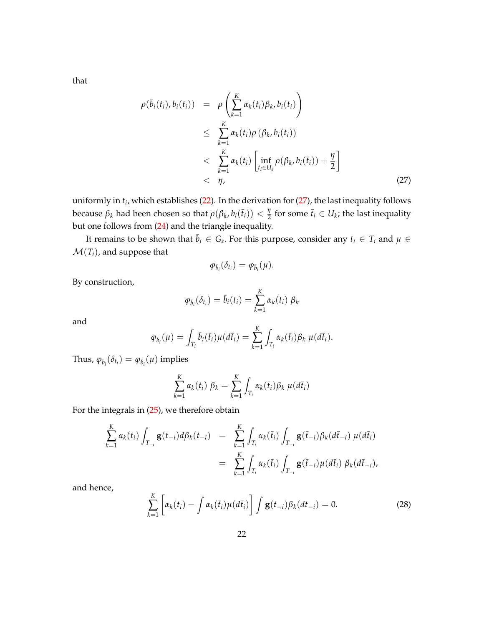that

<span id="page-23-0"></span>
$$
\rho(\bar{b}_{i}(t_{i}), b_{i}(t_{i})) = \rho\left(\sum_{k=1}^{K} \alpha_{k}(t_{i})\beta_{k}, b_{i}(t_{i})\right)
$$
\n
$$
\leq \sum_{k=1}^{K} \alpha_{k}(t_{i})\rho(\beta_{k}, b_{i}(t_{i}))
$$
\n
$$
< \sum_{k=1}^{K} \alpha_{k}(t_{i}) \left[\inf_{\bar{t}_{i} \in U_{k}} \rho(\beta_{k}, b_{i}(\bar{t}_{i})) + \frac{\eta}{2}\right]
$$
\n
$$
< \eta,
$$
\n(27)

uniformly in *t<sup>i</sup>* , which establishes [\(22\)](#page-21-1). In the derivation for [\(27\)](#page-23-0), the last inequality follows because  $\beta_k$  had been chosen so that  $\rho(\beta_k, b_i(\bar{t}_i)) < \frac{\eta}{2}$  $\frac{\eta}{2}$  for some  $\bar{t}_i \in U_k$ ; the last inequality but one follows from [\(24\)](#page-21-2) and the triangle inequality.

It remains to be shown that  $\bar{b}_i \in G_{\varepsilon}$ . For this purpose, consider any  $t_i \in T_i$  and  $\mu \in$  $\mathcal{M}(T_i)$ , and suppose that

$$
\varphi_{\bar{b}_i}(\delta_{t_i})=\varphi_{\bar{b}_i}(\mu).
$$

By construction,

$$
\varphi_{\bar{b}_i}(\delta_{t_i}) = \bar{b}_i(t_i) = \sum_{k=1}^K \alpha_k(t_i) \beta_k
$$

and

$$
\varphi_{\bar{b}_i}(\mu) = \int_{T_i} \bar{b}_i(\bar{t}_i) \mu(d\bar{t}_i) = \sum_{k=1}^K \int_{T_i} \alpha_k(\bar{t}_i) \beta_k \mu(d\bar{t}_i).
$$

Thus,  $\varphi_{\bar{b}_i}(\delta_{t_i}) = \varphi_{\bar{b}_i}(\mu)$  implies

$$
\sum_{k=1}^K \alpha_k(t_i) \beta_k = \sum_{k=1}^K \int_{T_i} \alpha_k(\bar{t}_i) \beta_k \mu(d\bar{t}_i)
$$

For the integrals in [\(25\)](#page-22-1), we therefore obtain

$$
\sum_{k=1}^{K} \alpha_{k}(t_{i}) \int_{T_{-i}} \mathbf{g}(t_{-i}) d\beta_{k}(t_{-i}) = \sum_{k=1}^{K} \int_{T_{i}} \alpha_{k}(\bar{t}_{i}) \int_{T_{-i}} \mathbf{g}(\bar{t}_{-i}) \beta_{k}(d\bar{t}_{-i}) \mu(d\bar{t}_{i})
$$

$$
= \sum_{k=1}^{K} \int_{T_{i}} \alpha_{k}(\bar{t}_{i}) \int_{T_{-i}} \mathbf{g}(\bar{t}_{-i}) \mu(d\bar{t}_{i}) \beta_{k}(d\bar{t}_{-i}),
$$

and hence,

<span id="page-23-1"></span>
$$
\sum_{k=1}^{K} \left[ \alpha_k(t_i) - \int \alpha_k(\bar{t}_i) \mu(d\bar{t}_i) \right] \int \mathbf{g}(t_{-i}) \beta_k(dt_{-i}) = 0. \tag{28}
$$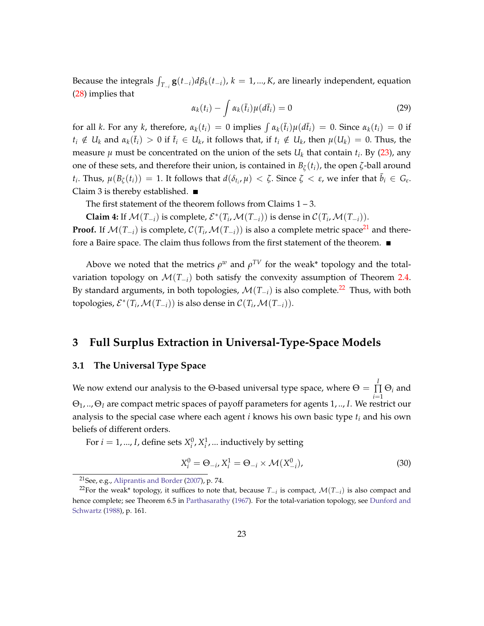Because the integrals  $\int_{T_{-i}}$ **g**( $t_{-i}$ ) $d\beta_k(t_{-i})$ ,  $k = 1, ..., K$ , are linearly independent, equation [\(28\)](#page-23-1) implies that

$$
\alpha_k(t_i) - \int \alpha_k(\bar{t}_i)\mu(d\bar{t}_i) = 0 \tag{29}
$$

for all *k*. For any *k*, therefore,  $\alpha_k(t_i) = 0$  implies  $\int \alpha_k(\bar{t}_i)\mu(d\bar{t}_i) = 0$ . Since  $\alpha_k(t_i) = 0$  if  $t_i \notin U_k$  and  $\alpha_k(\bar{t}_i) > 0$  if  $\bar{t}_i \in U_k$ , it follows that, if  $t_i \notin U_k$ , then  $\mu(U_k) = 0$ . Thus, the measure  $\mu$  must be concentrated on the union of the sets  $U_k$  that contain  $t_i$ . By [\(23\)](#page-21-3), any one of these sets, and therefore their union, is contained in  $B_\zeta(t_i)$ , the open  $\zeta$ -ball around  $t_i$ . Thus,  $\mu(B_\zeta(t_i)) = 1$ . It follows that  $d(\delta_{t_i}, \mu) < \zeta$ . Since  $\zeta < \varepsilon$ , we infer that  $\bar{b}_i \in G_{\varepsilon}$ . Claim 3 is thereby established.  $\blacksquare$ 

The first statement of the theorem follows from Claims  $1 - 3$ .

**Claim 4:** If  $\mathcal{M}(T_{-i})$  is complete,  $\mathcal{E}^*(T_i, \mathcal{M}(T_{-i}))$  is dense in  $\mathcal{C}(T_i, \mathcal{M}(T_{-i}))$ .

**Proof.** If  $\mathcal{M}(T_{-i})$  is complete,  $\mathcal{C}(T_i, \mathcal{M}(T_{-i}))$  is also a complete metric space<sup>[21](#page-24-2)</sup> and therefore a Baire space. The claim thus follows from the first statement of the theorem.  $\blacksquare$ 

Above we noted that the metrics  $\rho^w$  and  $\rho^{TV}$  for the weak\* topology and the totalvariation topology on  $\mathcal{M}(T_{-i})$  both satisfy the convexity assumption of Theorem [2.4.](#page-15-2) By standard arguments, in both topologies,  $\mathcal{M}(T_{-i})$  is also complete.<sup>[22](#page-24-3)</sup> Thus, with both topologies,  $\mathcal{E}^*(T_i, \mathcal{M}(T_{-i}))$  is also dense in  $\mathcal{C}(T_i, \mathcal{M}(T_{-i}))$ .

# <span id="page-24-0"></span>**3 Full Surplus Extraction in Universal-Type-Space Models**

#### <span id="page-24-1"></span>**3.1 The Universal Type Space**

We now extend our analysis to the Θ-based universal type space, where  $\Theta = \prod^I$ ∏ Θ*<sup>i</sup>* and *i*=1 Θ1, .., Θ*<sup>I</sup>* are compact metric spaces of payoff parameters for agents 1, .., *I*. We restrict our analysis to the special case where each agent *i* knows his own basic type *t<sup>i</sup>* and his own beliefs of different orders.

For  $i = 1, ..., I$ , define sets  $X_i^0, X_i^1, ...$  inductively by setting

$$
X_i^0 = \Theta_{-i}, X_i^1 = \Theta_{-i} \times \mathcal{M}(X_{-i}^0),
$$
\n(30)

<span id="page-24-3"></span><span id="page-24-2"></span><sup>21</sup>See, e.g., [Aliprantis and Border](#page-45-9) [\(2007\)](#page-45-9), p. 74.

<sup>22</sup>For the weak\* topology, it suffices to note that, because *T*−*<sup>i</sup>* is compact, M(*T*−*<sup>i</sup>* ) is also compact and hence complete; see Theorem 6.5 in [Parthasarathy](#page-47-0) [\(1967\)](#page-47-0). For the total-variation topology, see [Dunford and](#page-45-10) [Schwartz](#page-45-10) [\(1988\)](#page-45-10), p. 161.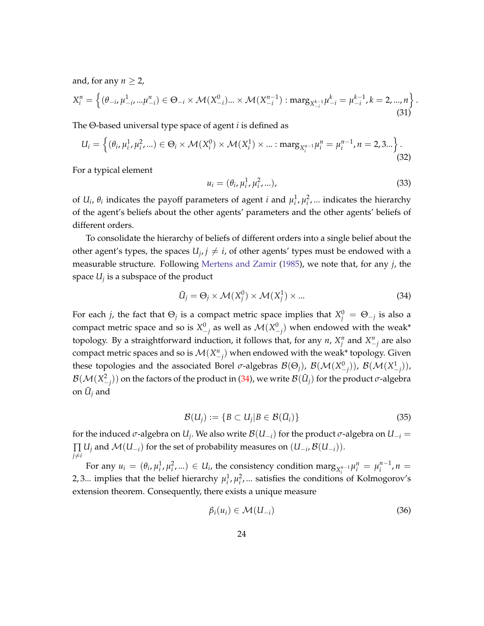and, for any  $n \geq 2$ ,

$$
X_i^n = \left\{ (\theta_{-i}, \mu_{-i}^1, \ldots, \mu_{-i}^n) \in \Theta_{-i} \times \mathcal{M}(X_{-i}^0) \ldots \times \mathcal{M}(X_{-i}^{n-1}) : \text{marg}_{X_{-i}^{k-1}} \mu_{-i}^k = \mu_{-i}^{k-1}, k = 2, \ldots, n \right\}
$$
\n(31)

The Θ-based universal type space of agent *i* is defined as

$$
U_i = \left\{ (\theta_i, \mu_i^1, \mu_i^2, \ldots) \in \Theta_i \times \mathcal{M}(X_i^0) \times \mathcal{M}(X_i^1) \times \ldots : \text{marg}_{X_i^{n-1}} \mu_i^n = \mu_i^{n-1}, n = 2, 3... \right\}.
$$
\n(32)

For a typical element

$$
u_i = (\theta_i, \mu_i^1, \mu_i^2, \ldots), \tag{33}
$$

.

of  $U_i$ ,  $\theta_i$  indicates the payoff parameters of agent *i* and  $\mu_i^1$ ,  $\mu_i^2$ , ... indicates the hierarchy of the agent's beliefs about the other agents' parameters and the other agents' beliefs of different orders.

To consolidate the hierarchy of beliefs of different orders into a single belief about the other agent's types, the spaces  $U_j$ ,  $j \neq i$ , of other agents' types must be endowed with a measurable structure. Following [Mertens and Zamir](#page-46-4) [\(1985\)](#page-46-4), we note that, for any *j*, the space *U<sup>j</sup>* is a subspace of the product

<span id="page-25-0"></span>
$$
\bar{U}_j = \Theta_j \times \mathcal{M}(X_j^0) \times \mathcal{M}(X_j^1) \times \dots \tag{34}
$$

For each *j*, the fact that  $\Theta_j$  is a compact metric space implies that  $X_j^0 = \Theta_{-j}$  is also a compact metric space and so is  $X^0_{-j}$  as well as  $\mathcal{M}(X^0_{-j})$  when endowed with the weak\* topology. By a straightforward induction, it follows that, for any *n*,  $X_j^n$  and  $X_{-j}^n$  are also compact metric spaces and so is  $\mathcal{M}(X^n_{-j})$  when endowed with the weak\* topology. Given these topologies and the associated Borel *σ*-algebras  $\mathcal{B}(\Theta_j)$ ,  $\mathcal{B}(\mathcal{M}(X^0_{-j}))$ ,  $\mathcal{B}(\mathcal{M}(X^1_{-j}))$ ,  $\mathcal{B}(\mathcal{M}(X^2_{-j}))$  on the factors of the product in [\(34\)](#page-25-0), we write  $\mathcal{B}(\bar{U}_j)$  for the product  $\sigma$ -algebra on  $\bar{U}_j$  and

$$
\mathcal{B}(U_j) := \{ B \subset U_j | B \in \mathcal{B}(\bar{U}_i) \}
$$
\n(35)

for the induced  $\sigma$ -algebra on  $U_j$ . We also write  $\mathcal{B}(U_{-i})$  for the product  $\sigma$ -algebra on  $U_{-i}$  =  $\prod U_j$  and  $\mathcal{M}(U_{-i})$  for the set of probability measures on  $(U_{-i}, \mathcal{B}(U_{-i}))$ .  $i \neq i$ 

For any  $u_i = (\theta_i, \mu_i^1, \mu_i^2, ...) \in U_i$ , the consistency condition marg<sub> $X_i^{n-1} \mu_i^n = \mu_i^{n-1}$ ,  $n =$ </sub> 2, 3... implies that the belief hierarchy  $\mu_i^1$ ,  $\mu_i^2$ , ... satisfies the conditions of Kolmogorov's extension theorem. Consequently, there exists a unique measure

$$
\beta_i(u_i) \in \mathcal{M}(U_{-i}) \tag{36}
$$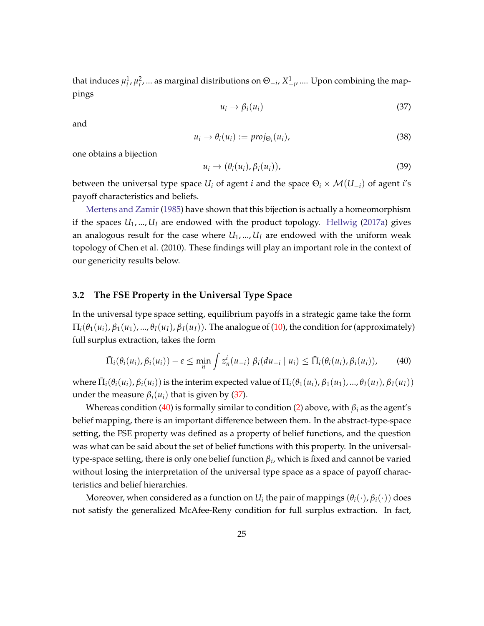that induces  $\mu_i^1, \mu_i^2, ...$  as marginal distributions on  $\Theta_{-i}$ ,  $X_{-i}^1, ...$  Upon combining the mappings

<span id="page-26-1"></span>
$$
u_i \to \beta_i(u_i) \tag{37}
$$

and

$$
u_i \to \theta_i(u_i) := \text{proj}_{\Theta_i}(u_i), \tag{38}
$$

one obtains a bijection

<span id="page-26-3"></span>
$$
u_i \to (\theta_i(u_i), \beta_i(u_i)), \tag{39}
$$

between the universal type space  $U_i$  of agent *i* and the space  $\Theta_i \times \mathcal{M}(U_{-i})$  of agent *i*'s payoff characteristics and beliefs.

[Mertens and Zamir](#page-46-4) [\(1985\)](#page-46-4) have shown that this bijection is actually a homeomorphism if the spaces  $U_1, ..., U_l$  are endowed with the product topology. [Hellwig](#page-46-6) [\(2017a\)](#page-46-6) gives an analogous result for the case where  $U_1$ , ...,  $U_I$  are endowed with the uniform weak topology of Chen et al. (2010). These findings will play an important role in the context of our genericity results below.

#### <span id="page-26-0"></span>**3.2 The FSE Property in the Universal Type Space**

In the universal type space setting, equilibrium payoffs in a strategic game take the form  $\Pi_i(\theta_1(u_i), \beta_1(u_1), ..., \theta_I(u_I), \beta_I(u_I))$ . The analogue of [\(10\)](#page-10-5), the condition for (approximately) full surplus extraction, takes the form

<span id="page-26-2"></span>
$$
\bar{\Pi}_i(\theta_i(u_i),\beta_i(u_i))-\varepsilon\leq \min_n \int z_n^i(u_{-i})\ \beta_i(du_{-i}\mid u_i)\leq \bar{\Pi}_i(\theta_i(u_i),\beta_i(u_i)),\qquad(40)
$$

where  $\bar{\Pi}_i(\theta_i(u_i),\beta_i(u_i))$  is the interim expected value of  $\Pi_i(\theta_1(u_i),\beta_1(u_1),...,\theta_I(u_I),\beta_I(u_I))$ under the measure  $\beta_i(u_i)$  that is given by [\(37\)](#page-26-1).

Whereas condition [\(40\)](#page-26-2) is formally similar to condition [\(2\)](#page-7-4) above, with *β<sup>i</sup>* as the agent's belief mapping, there is an important difference between them. In the abstract-type-space setting, the FSE property was defined as a property of belief functions, and the question was what can be said about the set of belief functions with this property. In the universaltype-space setting, there is only one belief function *β<sup>i</sup>* , which is fixed and cannot be varied without losing the interpretation of the universal type space as a space of payoff characteristics and belief hierarchies.

Moreover, when considered as a function on  $U_i$  the pair of mappings  $(\theta_i(\cdot),\beta_i(\cdot))$  does not satisfy the generalized McAfee-Reny condition for full surplus extraction. In fact,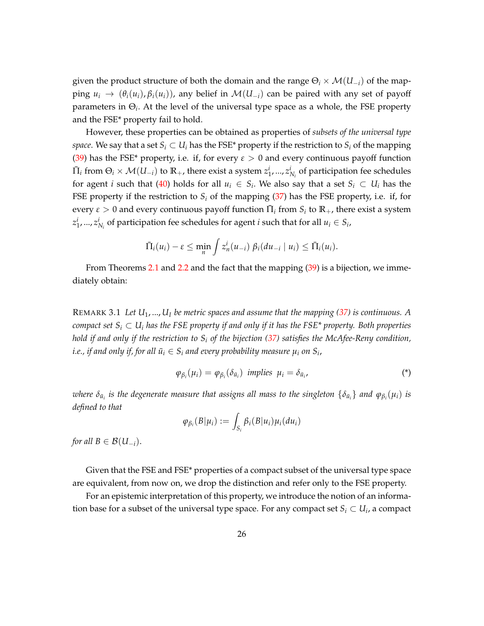given the product structure of both the domain and the range  $\Theta_i \times \mathcal{M}(U_{-i})$  of the mapping  $u_i \rightarrow (\theta_i(u_i), \beta_i(u_i))$ , any belief in  $\mathcal{M}(U_{-i})$  can be paired with any set of payoff parameters in Θ*<sup>i</sup>* . At the level of the universal type space as a whole, the FSE property and the FSE\* property fail to hold.

However, these properties can be obtained as properties of *subsets of the universal type space*. We say that a set  $S_i \subset U_i$  has the FSE<sup>\*</sup> property if the restriction to  $S_i$  of the mapping [\(39\)](#page-26-3) has the FSE<sup>\*</sup> property, i.e. if, for every  $\varepsilon > 0$  and every continuous payoff function  $\bar{\Pi}_i$  from  $\Theta_i \times \mathcal{M}(U_{-i})$  to  $\mathbb{R}_+$ , there exist a system  $z^i_1,...,z^i_{N_i}$  of participation fee schedules for agent *i* such that [\(40\)](#page-26-2) holds for all  $u_i \in S_i$ . We also say that a set  $S_i \subset U_i$  has the FSE property if the restriction to  $S_i$  of the mapping  $(37)$  has the FSE property, i.e. if, for  $\text{every } \varepsilon > 0$  and every continuous payoff function  $\bar{\Pi}_i$  from  $S_i$  to  $\mathbb{R}_+$ , there exist a system  $z_1^i$ , ...,  $z_{N_i}^i$  of participation fee schedules for agent *i* such that for all  $u_i \in S_i$ ,

$$
\bar{\Pi}_i(u_i)-\varepsilon\leq \min_n\int z_n^i(u_{-i})\;\beta_i(du_{-i}\mid u_i)\leq \bar{\Pi}_i(u_i).
$$

From Theorems [2.1](#page-8-1) and [2.2](#page-10-4) and the fact that the mapping [\(39\)](#page-26-3) is a bijection, we immediately obtain:

<span id="page-27-0"></span>REMARK 3.1 Let  $U_1$ , ...,  $U_i$  be metric spaces and assume that the mapping [\(37\)](#page-26-1) is continuous. A *compact set*  $S_i \subset U_i$  *has the FSE property if and only if it has the FSE\* property. Both properties hold if and only if the restriction to S<sup>i</sup> of the bijection [\(37\)](#page-26-1) satisfies the McAfee-Reny condition,*  $i.e.,$  *if and only if, for all*  $\bar{u}_i \in S_i$  *and every probability measure*  $\mu_i$  *on*  $S_i$ *,* 

<span id="page-27-1"></span>
$$
\varphi_{\beta_i}(\mu_i) = \varphi_{\beta_i}(\delta_{\bar{u}_i}) \text{ implies } \mu_i = \delta_{\bar{u}_i}, \tag{*}
$$

 $i$  *i v*<sub>*u*</sub> $i$  *is the degenerate measure that assigns all mass to the singleton*  $\{\delta_{\bar{u}_i}\}$  *and*  $\varphi_{\beta_i}(\mu_i)$  *is defined to that*

$$
\varphi_{\beta_i}(B|\mu_i) := \int_{S_i} \beta_i(B|u_i) \mu_i(du_i)
$$

*for all*  $B \in \mathcal{B}(U_{-i}).$ 

Given that the FSE and FSE\* properties of a compact subset of the universal type space are equivalent, from now on, we drop the distinction and refer only to the FSE property.

For an epistemic interpretation of this property, we introduce the notion of an information base for a subset of the universal type space. For any compact set  $S_i \subset U_i$ , a compact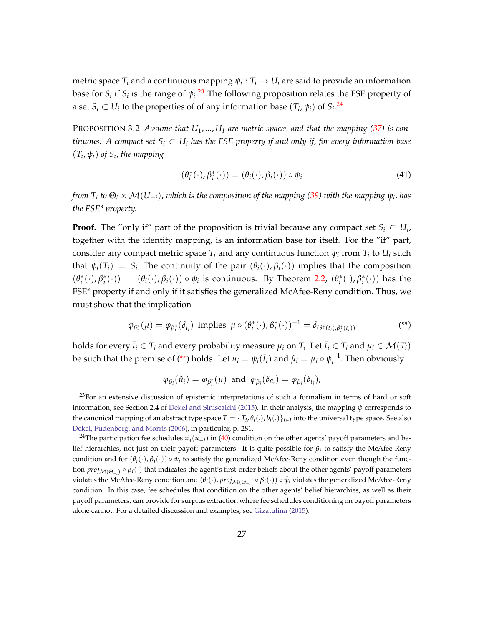metric space  $T_i$  and a continuous mapping  $\psi_i: T_i \to U_i$  are said to provide an information base for  $S_i$  if  $S_i$  is the range of  $\psi_i$ .<sup>[23](#page-28-0)</sup> The following proposition relates the FSE property of a set  $S_i \subset U_i$  to the properties of of any information base  $(T_i, \psi_i)$  of  $S_i$ .<sup>[24](#page-28-1)</sup>

<span id="page-28-3"></span>PROPOSITION 3.2 Assume that  $U_1, ..., U_l$  are metric spaces and that the mapping [\(37\)](#page-26-1) is con*tinuous.* A compact set  $S_i \subset U_i$  has the FSE property if and only if, for every information base  $(T_i, \psi_i)$  of  $S_i$ , the mapping

$$
(\theta_i^*(\cdot), \beta_i^*(\cdot)) = (\theta_i(\cdot), \beta_i(\cdot)) \circ \psi_i \tag{41}
$$

*from T<sup>i</sup> to* Θ*<sup>i</sup>* × M(*U*−*i*), *which is the composition of the mapping [\(39\)](#page-26-3) with the mapping ψ<sup>i</sup> , has the FSE\* property.*

**Proof.** The "only if" part of the proposition is trivial because any compact set  $S_i \subset U_i$ , together with the identity mapping, is an information base for itself. For the "if" part, consider any compact metric space  $T_i$  and any continuous function  $\psi_i$  from  $T_i$  to  $U_i$  such that  $\psi_i(T_i) = S_i$ . The continuity of the pair  $(\theta_i(\cdot), \beta_i(\cdot))$  implies that the composition  $(\theta_i^*(\cdot), \beta_i^*(\cdot)) = (\theta_i(\cdot), \beta_i(\cdot)) \circ \psi_i$  is continuous. By Theorem [2.2,](#page-10-4)  $(\theta_i^*(\cdot), \beta_i^*(\cdot))$  has the FSE\* property if and only if it satisfies the generalized McAfee-Reny condition. Thus, we must show that the implication

$$
\varphi_{\beta_i^*}(\mu) = \varphi_{\beta_i^*}(\delta_{\bar{t}_i}) \text{ implies } \mu \circ (\theta_i^*(\cdot), \beta_i^*(\cdot))^{-1} = \delta_{(\theta_i^*(\bar{t}_i), \beta_i^*(\bar{t}_i))}
$$
\n
$$
(**)
$$

holds for every  $\bar{t}_i \in T_i$  and every probability measure  $\mu_i$  on  $T_i$ . Let  $\bar{t}_i \in T_i$  and  $\mu_i \in \mathcal{M}(T_i)$ be such that the premise of [\(\\*\\*\)](#page-28-2) holds. Let  $\bar{u}_i = \psi_i(\bar{t}_i)$  and  $\hat{\mu}_i = \mu_i \circ \psi_i^{-1}$ . Then obviously

<span id="page-28-2"></span>
$$
\varphi_{\beta_i}(\hat{\mu}_i) = \varphi_{\beta_i^*}(\mu) \text{ and } \varphi_{\beta_i}(\delta_{\bar{u}_i}) = \varphi_{\beta_i}(\delta_{\bar{t}_i}),
$$

<span id="page-28-0"></span><sup>&</sup>lt;sup>23</sup>For an extensive discussion of epistemic interpretations of such a formalism in terms of hard or soft information, see Section 2.4 of [Dekel and Siniscalchi](#page-45-11) [\(2015\)](#page-45-11). In their analysis, the mapping *ψ* corresponds to the canonical mapping of an abstract type space  $T=\{T_i,\theta_i(.)$  ,  $b_i(.)\}_{i\in I}$  into the universal type space. See also [Dekel, Fudenberg, and Morris](#page-45-4) [\(2006\)](#page-45-4), in particular, p. 281.

<span id="page-28-1"></span><sup>&</sup>lt;sup>24</sup>The participation fee schedules  $z_n^i(u_{-i})$  in [\(40\)](#page-26-2) condition on the other agents' payoff parameters and belief hierarchies, not just on their payoff parameters. It is quite possible for *β<sup>i</sup>* to satisfy the McAfee-Reny condition and for  $(\theta_i(\cdot), \beta_i(\cdot)) \circ \psi_i$  to satisfy the generalized McAfee-Reny condition even though the function *proj*<sub>M(Θ−*i*</sub>) ∘ β<sup>*i*</sup>(⋅) that indicates the agent's first-order beliefs about the other agents' payoff parameters violates the McAfee-Reny condition and  $(\theta_i(\cdot),proj_{\mathcal{M}(\Theta_{-i})}\circ\beta_i(\cdot))\circ\hat{\psi}_i$  violates the generalized McAfee-Reny condition. In this case, fee schedules that condition on the other agents' belief hierarchies, as well as their payoff parameters, can provide for surplus extraction where fee schedules conditioning on payoff parameters alone cannot. For a detailed discussion and examples, see [Gizatulina](#page-46-7) [\(2015\)](#page-46-7).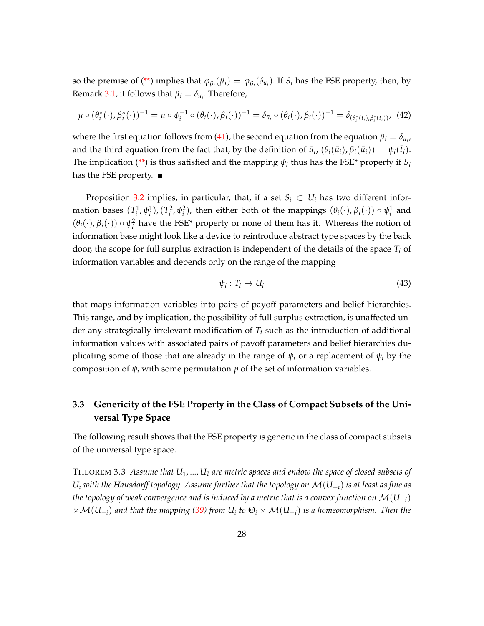so the premise of [\(\\*\\*\)](#page-28-2) implies that  $\varphi_{\beta_i}(\hat{\mu}_i) = \varphi_{\beta_i}(\delta_{\bar{u}_i})$ . If  $S_i$  has the FSE property, then, by Remark [3.1,](#page-27-0) it follows that  $\hat{\mu}_i = \delta_{\bar{u}_i}$ . Therefore,

$$
\mu \circ (\theta_i^*(\cdot), \beta_i^*(\cdot))^{-1} = \mu \circ \psi_i^{-1} \circ (\theta_i(\cdot), \beta_i(\cdot))^{-1} = \delta_{\bar{u}_i} \circ (\theta_i(\cdot), \beta_i(\cdot))^{-1} = \delta_{(\theta_i^*(\bar{t}_i), \beta_i^*(\bar{t}_i))},
$$
(42)

where the first equation follows from [\(41\)](#page-27-1), the second equation from the equation  $\hat{\mu}_i = \delta_{\bar{u}_i}$ , and the third equation from the fact that, by the definition of  $\bar{u}_i$ ,  $(\theta_i(\bar{u}_i), \beta_i(\bar{u}_i)) = \psi_i(\bar{t}_i)$ . The implication [\(\\*\\*\)](#page-28-2) is thus satisfied and the mapping  $\psi_i$  thus has the FSE\* property if  $S_i$ has the FSE property.

Proposition [3.2](#page-28-3) implies, in particular, that, if a set  $S_i \subset U_i$  has two different information bases  $(T_i^1, \psi_i^1)$ ,  $(T_i^2, \psi_i^2)$ , then either both of the mappings  $(\theta_i(\cdot), \beta_i(\cdot)) \circ \psi_i^1$  and  $(\theta_i(\cdot), \beta_i(\cdot)) \circ \psi_i^2$  have the FSE\* property or none of them has it. Whereas the notion of information base might look like a device to reintroduce abstract type spaces by the back door, the scope for full surplus extraction is independent of the details of the space *T<sup>i</sup>* of information variables and depends only on the range of the mapping

$$
\psi_i: T_i \to U_i \tag{43}
$$

that maps information variables into pairs of payoff parameters and belief hierarchies. This range, and by implication, the possibility of full surplus extraction, is unaffected under any strategically irrelevant modification of *T<sup>i</sup>* such as the introduction of additional information values with associated pairs of payoff parameters and belief hierarchies duplicating some of those that are already in the range of  $\psi_i$  or a replacement of  $\psi_i$  by the composition of  $\psi_i$  with some permutation  $p$  of the set of information variables.

# <span id="page-29-0"></span>**3.3 Genericity of the FSE Property in the Class of Compact Subsets of the Universal Type Space**

The following result shows that the FSE property is generic in the class of compact subsets of the universal type space.

<span id="page-29-1"></span>THEOREM 3.3 *Assume that U*1, ..., *U<sup>I</sup> are metric spaces and endow the space of closed subsets of U<sup>i</sup> with the Hausdorff topology. Assume further that the topology on* M(*U*−*i*) *is at least as fine as the topology of weak convergence and is induced by a metric that is a convex function on*  $\mathcal{M}(U_{-i})$ ×M(*U*−*i*) *and that the mapping [\(39\)](#page-26-3) from U<sup>i</sup> to* Θ*<sup>i</sup>* × M(*U*−*i*) *is a homeomorphism. Then the*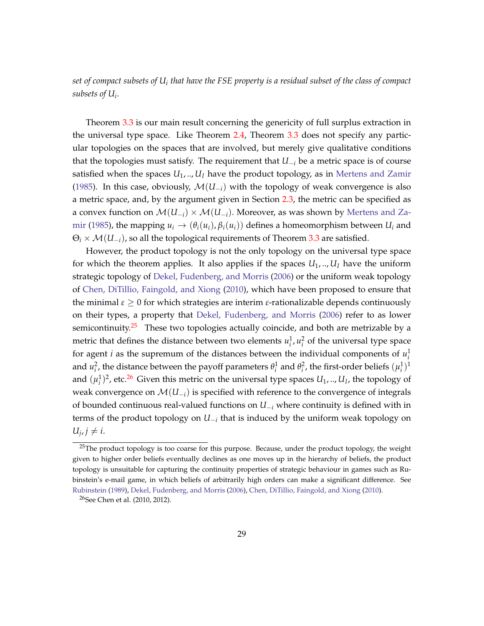*set of compact subsets of U<sup>i</sup> that have the FSE property is a residual subset of the class of compact subsets of U<sup>i</sup>* .

Theorem [3.3](#page-29-1) is our main result concerning the genericity of full surplus extraction in the universal type space. Like Theorem [2.4,](#page-15-2) Theorem [3.3](#page-29-1) does not specify any particular topologies on the spaces that are involved, but merely give qualitative conditions that the topologies must satisfy. The requirement that  $U_{-i}$  be a metric space is of course satisfied when the spaces  $U_1, \ldots, U_l$  have the product topology, as in [Mertens and Zamir](#page-46-4) [\(1985\)](#page-46-4). In this case, obviously,  $\mathcal{M}(U_{-i})$  with the topology of weak convergence is also a metric space, and, by the argument given in Section [2.3,](#page-13-0) the metric can be specified as a convex function on  $\mathcal{M}(U_{-i}) \times \mathcal{M}(U_{-i})$ . Moreover, as was shown by [Mertens and Za](#page-46-4)[mir](#page-46-4) [\(1985\)](#page-46-4), the mapping  $u_i \rightarrow (\theta_i(u_i), \beta_i(u_i))$  defines a homeomorphism between  $U_i$  and  $\Theta_i \times \mathcal{M}(U_{-i})$ , so all the topological requirements of Theorem [3.3](#page-29-1) are satisfied.

However, the product topology is not the only topology on the universal type space for which the theorem applies. It also applies if the spaces  $U_1, \ldots, U_l$  have the uniform strategic topology of [Dekel, Fudenberg, and Morris](#page-45-4) [\(2006\)](#page-45-4) or the uniform weak topology of [Chen, DiTillio, Faingold, and Xiong](#page-45-7) [\(2010\)](#page-45-7), which have been proposed to ensure that the minimal *ε* ≥ 0 for which strategies are interim *ε*-rationalizable depends continuously on their types, a property that [Dekel, Fudenberg, and Morris](#page-45-4) [\(2006\)](#page-45-4) refer to as lower semicontinuity. $25$  These two topologies actually coincide, and both are metrizable by a metric that defines the distance between two elements  $u_i^1$ ,  $u_i^2$  of the universal type space for agent *i* as the supremum of the distances between the individual components of  $u_i^1$ and  $u_i^2$ , the distance between the payoff parameters  $\theta_i^1$  and  $\theta_i^2$ , the first-order beliefs  $(\mu_i^1)^1$ and  $(\mu_i^1)^2$ , etc.<sup>[26](#page-30-1)</sup> Given this metric on the universal type spaces  $U_1, ..., U_I$ , the topology of weak convergence on  $\mathcal{M}(U_{-i})$  is specified with reference to the convergence of integrals of bounded continuous real-valued functions on *U*−*<sup>i</sup>* where continuity is defined with in terms of the product topology on *U*−*<sup>i</sup>* that is induced by the uniform weak topology on  $U_j, j \neq i$ .

<span id="page-30-0"></span><sup>&</sup>lt;sup>25</sup>The product topology is too coarse for this purpose. Because, under the product topology, the weight given to higher order beliefs eventually declines as one moves up in the hierarchy of beliefs, the product topology is unsuitable for capturing the continuity properties of strategic behaviour in games such as Rubinstein's e-mail game, in which beliefs of arbitrarily high orders can make a significant difference. See [Rubinstein](#page-47-1) [\(1989\)](#page-47-1), [Dekel, Fudenberg, and Morris](#page-45-4) [\(2006\)](#page-45-4), [Chen, DiTillio, Faingold, and Xiong](#page-45-7) [\(2010\)](#page-45-7).

<span id="page-30-1"></span><sup>26</sup>See Chen et al. (2010, 2012).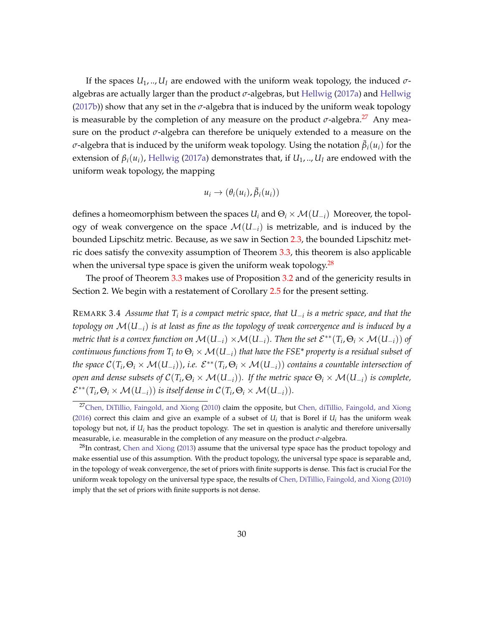If the spaces  $U_1, \ldots, U_l$  are endowed with the uniform weak topology, the induced  $\sigma$ algebras are actually larger than the product *σ*-algebras, but [Hellwig](#page-46-6) [\(2017a\)](#page-46-6) and [Hellwig](#page-46-8) [\(2017b\)](#page-46-8)) show that any set in the *σ*-algebra that is induced by the uniform weak topology is measurable by the completion of any measure on the product  $\sigma$ -algebra.<sup>[27](#page-31-0)</sup> Any measure on the product *σ*-algebra can therefore be uniquely extended to a measure on the  $\sigma$ -algebra that is induced by the uniform weak topology. Using the notation  $\bar{\beta}_i(u_i)$  for the extension of  $\beta_i(u_i)$ , [Hellwig](#page-46-6) [\(2017a\)](#page-46-6) demonstrates that, if  $U_1, \ldots, U_l$  are endowed with the uniform weak topology, the mapping

$$
u_i \to (\theta_i(u_i), \bar{\beta}_i(u_i))
$$

defines a homeomorphism between the spaces  $U_i$  and  $\Theta_i \times \mathcal{M}(U_{-i})$  Moreover, the topology of weak convergence on the space  $\mathcal{M}(U_{-i})$  is metrizable, and is induced by the bounded Lipschitz metric. Because, as we saw in Section [2.3,](#page-13-0) the bounded Lipschitz metric does satisfy the convexity assumption of Theorem [3.3,](#page-29-1) this theorem is also applicable when the universal type space is given the uniform weak topology. $^{28}$  $^{28}$  $^{28}$ 

The proof of Theorem [3.3](#page-29-1) makes use of Proposition [3.2](#page-28-3) and of the genericity results in Section 2. We begin with a restatement of Corollary [2.5](#page-15-3) for the present setting.

<span id="page-31-2"></span>REMARK 3.4 *Assume that T<sup>i</sup> is a compact metric space, that U*−*<sup>i</sup> is a metric space, and that the topology on* M(*U*−*i*) *is at least as fine as the topology of weak convergence and is induced by a*  $m$ etric that is a convex function on  $\mathcal{M}(U_{-i}) \times \mathcal{M}(U_{-i})$ . Then the set  $\mathcal{E}^{**}(T_i,\Theta_i \times \mathcal{M}(U_{-i}))$  of  $\epsilon$ ontinuous functions from  $T_i$  to  $\Theta_i\times\mathcal{M}(U_{-i})$  that have the FSE\* property is a residual subset of *the space*  $\mathcal{C}(T_i,\Theta_i \times \mathcal{M}(U_{-i}))$ *, i.e.*  $\mathcal{E}^{**}(T_i,\Theta_i \times \mathcal{M}(U_{-i}))$  contains a countable intersection of  $p$  *open and dense subsets of*  $\mathcal{C}(T_i,\Theta_i \times \mathcal{M}(U_{-i}))$ *. If the metric space*  $\Theta_i \times \mathcal{M}(U_{-i})$  *is complete,*  $\mathcal{E}^{**}(T_i, \Theta_i \times \mathcal{M}(U_{-i}))$  is itself dense in  $\mathcal{C}(T_i, \Theta_i \times \mathcal{M}(U_{-i})).$ 

<span id="page-31-0"></span><sup>&</sup>lt;sup>27</sup>[Chen, DiTillio, Faingold, and Xiong](#page-45-7) [\(2010\)](#page-45-7) claim the opposite, but [Chen, diTillio, Faingold, and Xiong](#page-45-12) [\(2016\)](#page-45-12) correct this claim and give an example of a subset of  $U_i$  that is Borel if  $U_i$  has the uniform weak topology but not, if *U<sup>i</sup>* has the product topology. The set in question is analytic and therefore universally measurable, i.e. measurable in the completion of any measure on the product *σ*-algebra.

<span id="page-31-1"></span> $^{28}$ In contrast, [Chen and Xiong](#page-45-1) [\(2013\)](#page-45-1) assume that the universal type space has the product topology and make essential use of this assumption. With the product topology, the universal type space is separable and, in the topology of weak convergence, the set of priors with finite supports is dense. This fact is crucial For the uniform weak topology on the universal type space, the results of [Chen, DiTillio, Faingold, and Xiong](#page-45-7) [\(2010\)](#page-45-7) imply that the set of priors with finite supports is not dense.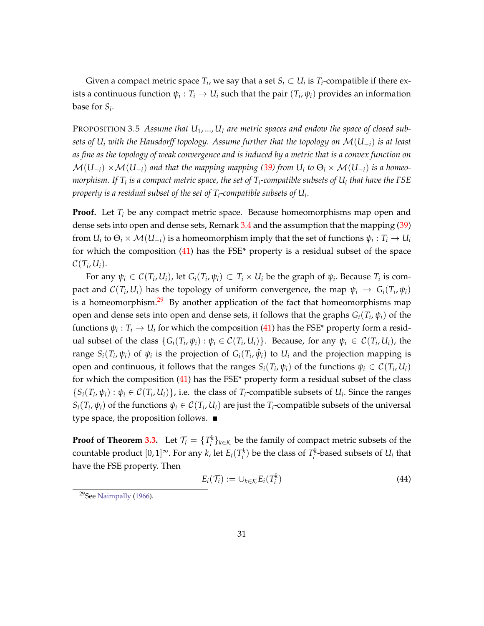Given a compact metric space  $T_i$ , we say that a set  $S_i \subset U_i$  is  $T_i$ -compatible if there exists a continuous function  $\psi_i: T_i \to U_i$  such that the pair  $(T_i, \psi_i)$  provides an information base for *S<sup>i</sup>* .

<span id="page-32-1"></span>PROPOSITION 3.5 *Assume that U*1, ..., *U<sup>I</sup> are metric spaces and endow the space of closed subsets of U<sup>i</sup> with the Hausdorff topology. Assume further that the topology on* M(*U*−*i*) *is at least as fine as the topology of weak convergence and is induced by a metric that is a convex function on*  $\mathcal{M}(U_{-i}) \times \mathcal{M}(U_{-i})$  and that the mapping mapping [\(39\)](#page-26-3) from  $U_i$  to  $\Theta_i \times \mathcal{M}(U_{-i})$  is a homeo*morphism. If T<sup>i</sup> is a compact metric space, the set of T<sup>i</sup> -compatible subsets of U<sup>i</sup> that have the FSE property is a residual subset of the set of T<sup>i</sup> -compatible subsets of U<sup>i</sup>* .

**Proof.** Let *T<sup>i</sup>* be any compact metric space. Because homeomorphisms map open and dense sets into open and dense sets, Remark [3.4](#page-31-2) and the assumption that the mapping [\(39\)](#page-26-3) from  $U_i$  to  $\Theta_i \times \mathcal{M}(U_{-i})$  is a homeomorphism imply that the set of functions  $\psi_i: T_i \to U_i$ for which the composition  $(41)$  has the FSE\* property is a residual subset of the space  $\mathcal{C}(T_i,U_i).$ 

For any  $\psi_i \in C(T_i, U_i)$ , let  $G_i(T_i, \psi_i) \subset T_i \times U_i$  be the graph of  $\psi_i$ . Because  $T_i$  is compact and  $\mathcal{C}(T_i,U_i)$  has the topology of uniform convergence, the map  $\psi_i \to G_i(T_i,\psi_i)$ is a homeomorphism.<sup>[29](#page-32-0)</sup> By another application of the fact that homeomorphisms map open and dense sets into open and dense sets, it follows that the graphs *Gi*(*T<sup>i</sup>* , *ψi*) of the functions  $\psi_i: T_i \to U_i$  for which the composition [\(41\)](#page-27-1) has the FSE\* property form a residual subset of the class  $\{G_i(T_i, \psi_i) : \psi_i \in C(T_i, U_i)\}$ . Because, for any  $\psi_i \in C(T_i, U_i)$ , the range  $S_i(T_i, \psi_i)$  of  $\psi_i$  is the projection of  $G_i(T_i, \hat{\psi}_i)$  to  $U_i$  and the projection mapping is open and continuous, it follows that the ranges  $S_i(T_i, \psi_i)$  of the functions  $\psi_i \in C(T_i, U_i)$ for which the composition  $(41)$  has the FSE\* property form a residual subset of the class  $\{S_i(T_i, \psi_i) : \psi_i \in C(T_i, U_i)\}\$ , i.e. the class of  $T_i$ -compatible subsets of  $U_i$ . Since the ranges  $S_i(T_i, \psi_i)$  of the functions  $\psi_i \in C(T_i, U_i)$  are just the  $T_i$ -compatible subsets of the universal type space, the proposition follows. ■

**Proof of Theorem [3.3.](#page-29-1)** Let  $\mathcal{T}_i = \{T_i^k\}_{k \in \mathcal{K}}$  be the family of compact metric subsets of the countable product  $[0,1]^\infty$ . For any *k*, let  $E_i(T_i^k)$  be the class of  $T_i^k$ -based subsets of  $U_i$  that have the FSE property. Then

$$
E_i(\mathcal{T}_i) := \cup_{k \in \mathcal{K}} E_i(T_i^k) \tag{44}
$$

<span id="page-32-0"></span><sup>29</sup>See [Naimpally](#page-46-9) [\(1966\)](#page-46-9).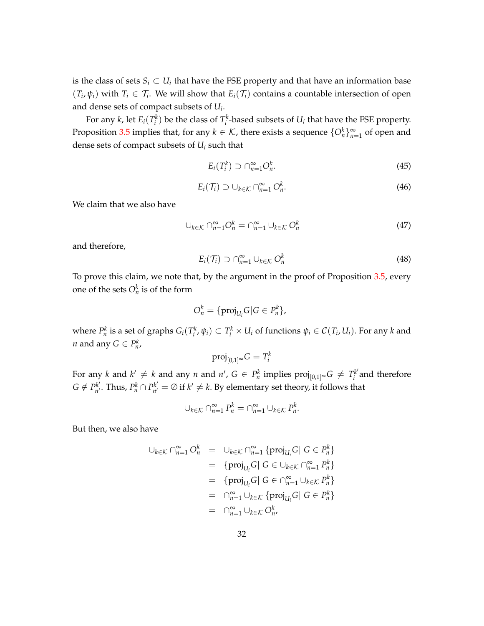is the class of sets  $S_i \subset U_i$  that have the FSE property and that have an information base  $(T_i, \psi_i)$  with  $T_i \in \mathcal{T}_i$ . We will show that  $E_i(\mathcal{T}_i)$  contains a countable intersection of open and dense sets of compact subsets of *U<sup>i</sup>* .

For any *k*, let  $E_i(T_i^k)$  be the class of  $T_i^k$ -based subsets of  $U_i$  that have the FSE property. Proposition [3.5](#page-32-1) implies that, for any  $k \in \mathcal{K}$ , there exists a sequence  $\{O_n^k\}_{n=1}^{\infty}$  of open and dense sets of compact subsets of *U<sup>i</sup>* such that

$$
E_i(T_i^k) \supset \bigcap_{n=1}^{\infty} O_n^k. \tag{45}
$$

$$
E_i(\mathcal{T}_i) \supset \cup_{k \in \mathcal{K}} \cap_{n=1}^{\infty} O_n^k. \tag{46}
$$

We claim that we also have

<span id="page-33-0"></span>
$$
\bigcup_{k \in \mathcal{K}} \bigcap_{n=1}^{\infty} O_n^k = \bigcap_{n=1}^{\infty} \bigcup_{k \in \mathcal{K}} O_n^k \tag{47}
$$

and therefore,

$$
E_i(\mathcal{T}_i) \supset \bigcap_{n=1}^{\infty} \cup_{k \in \mathcal{K}} O_n^k \tag{48}
$$

.

To prove this claim, we note that, by the argument in the proof of Proposition [3.5,](#page-32-1) every one of the sets  $O_n^k$  is of the form

$$
O_n^k = \{ \text{proj}_{U_i} G | G \in P_n^k \},
$$

where  $P_n^k$  is a set of graphs  $G_i(T_i^k, \psi_i) \subset T_i^k \times U_i$  of functions  $\psi_i \in C(T_i, U_i)$ . For any k and *n* and any  $G \in P_n^k$ ,

$$
\operatorname{proj}_{[0,1]^\infty} G = T_i^k
$$

For any  $k$  and  $k' \neq k$  and any  $n$  and  $n'$ ,  $G \in P_n^k$  implies  $\text{proj}_{[0,1]^\infty} G \neq T_i^{k'}$  $i$ <sup> $\kappa$ </sup> and therefore  $G \notin P_{n'}^{k'}$  $P_n^{k'}$ . Thus,  $P_n^k \cap P_{n'}^{k'}$  $a_{n'}^{k'} = \emptyset$  if  $k' \neq k$ . By elementary set theory, it follows that

$$
\cup_{k \in \mathcal{K}} \cap_{n=1}^{\infty} P_n^k = \cap_{n=1}^{\infty} \cup_{k \in \mathcal{K}} P_n^k
$$

But then, we also have

$$
\bigcup_{k \in \mathcal{K}} \bigcap_{n=1}^{\infty} O_n^k = \bigcup_{k \in \mathcal{K}} \bigcap_{n=1}^{\infty} \{ \text{proj}_{U_i} G \mid G \in P_n^k \}
$$
  
\n
$$
= \{ \text{proj}_{U_i} G \mid G \in \bigcup_{k \in \mathcal{K}} \bigcap_{n=1}^{\infty} P_n^k \}
$$
  
\n
$$
= \{ \text{proj}_{U_i} G \mid G \in \bigcap_{n=1}^{\infty} \bigcup_{k \in \mathcal{K}} P_n^k \}
$$
  
\n
$$
= \bigcap_{n=1}^{\infty} \bigcup_{k \in \mathcal{K}} \{ \text{proj}_{U_i} G \mid G \in P_n^k \}
$$
  
\n
$$
= \bigcap_{n=1}^{\infty} \bigcup_{k \in \mathcal{K}} O_n^k,
$$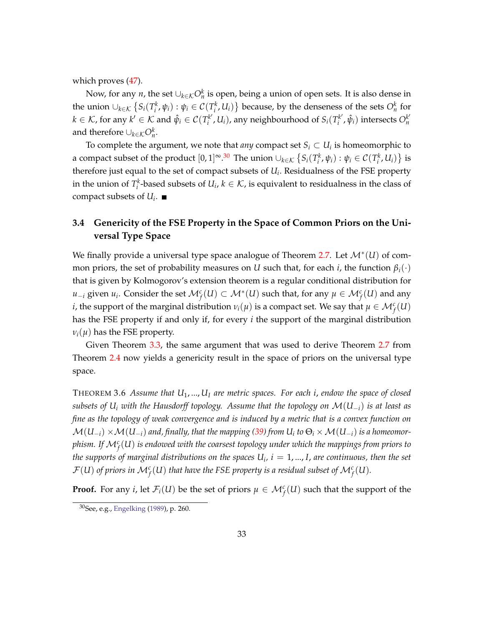which proves [\(47\)](#page-33-0).

Now, for any *n*, the set  $\cup_{k\in\mathcal{K}}O_{n}^{k}$  is open, being a union of open sets. It is also dense in the union  $\cup_{k\in\mathcal{K}}\left\{S_i(T_i^k,\psi_i):\psi_i\in\mathcal{C}(T_i^k,U_i)\right\}$  because, by the denseness of the sets  $O_n^k$  for  $k \in \mathcal{K}$ , for any  $k' \in \mathcal{K}$  and  $\hat{\psi}_i \in \mathcal{C}(T_i^{k'})$  $S_i^{k'}$ ,  $U_i$ ), any neighbourhood of  $S_i(T_i^{k'})$  $O^{k'}_{i}$ ,  $\hat{\psi}_{i}$ ) intersects  $O^{k'}_{n}$ *n* and therefore  $\cup_{k \in \mathcal{K}} O_n^k$ .

To complete the argument, we note that *any* compact set  $S_i \subset U_i$  is homeomorphic to a compact subset of the product  $[0,1]$ <sup>∞</sup>.<sup>[30](#page-34-1)</sup> The union  $\cup_{k\in\mathcal{K}}\left\{S_i(T_i^k, \psi_i): \psi_i\in\mathcal{C}(T_i^k, U_i)\right\}$  is therefore just equal to the set of compact subsets of *U<sup>i</sup>* . Residualness of the FSE property in the union of  $T_i^k$ -based subsets of  $U_i$ ,  $k \in \mathcal{K}$ , is equivalent to residualness in the class of compact subsets of *U<sup>i</sup>* .

### <span id="page-34-0"></span>**3.4 Genericity of the FSE Property in the Space of Common Priors on the Universal Type Space**

We finally provide a universal type space analogue of Theorem [2.7.](#page-17-1) Let M<sup>∗</sup> (*U*) of common priors, the set of probability measures on *U* such that, for each *i*, the function  $\beta_i(\cdot)$ that is given by Kolmogorov's extension theorem is a regular conditional distribution for *u*−*i* given *u<sub>i</sub>*. Consider the set  $\mathcal{M}_f^c(U) \subset \mathcal{M}^*(U)$  such that, for any  $\mu \in \mathcal{M}_f^c(U)$  and any *i*, the support of the marginal distribution  $\nu_i(\mu)$  is a compact set. We say that  $\mu \in \mathcal{M}_f^c(U)$ has the FSE property if and only if, for every *i* the support of the marginal distribution  $\nu$ <sup>*i*</sup>( $\mu$ ) has the FSE property.

Given Theorem [3.3,](#page-29-1) the same argument that was used to derive Theorem [2.7](#page-17-1) from Theorem [2.4](#page-15-2) now yields a genericity result in the space of priors on the universal type space.

THEOREM 3.6 *Assume that U*1, ..., *U<sup>I</sup> are metric spaces. For each i*, *endow the space of closed subsets of U<sup>i</sup> with the Hausdorff topology. Assume that the topology on* M(*U*−*i*) *is at least as fine as the topology of weak convergence and is induced by a metric that is a convex function on*  $\mathcal{M}(U_{-i})\times\mathcal{M}(U_{-i})$  and, finally, that the mapping [\(39\)](#page-26-3) from  $U_i$  to  $\Theta_i\times\mathcal{M}(U_{-i})$  is a homeomor*phism. If* M*<sup>c</sup> f* (*U*) *is endowed with the coarsest topology under which the mappings from priors to the supports of marginal distributions on the spaces*  $U_i$ *,*  $i = 1, ..., I$ *, are continuous, then the set*  $\mathcal{F}(U)$  of priors in  $\mathcal{M}_f^c(U)$  that have the FSE property is a residual subset of  $\mathcal{M}_f^c(U).$ 

**Proof.** For any *i*, let  $\mathcal{F}_i(U)$  be the set of priors  $\mu \in \mathcal{M}_f^c(U)$  such that the support of the

<span id="page-34-1"></span><sup>30</sup>See, e.g., [Engelking](#page-45-13) [\(1989\)](#page-45-13), p. 260.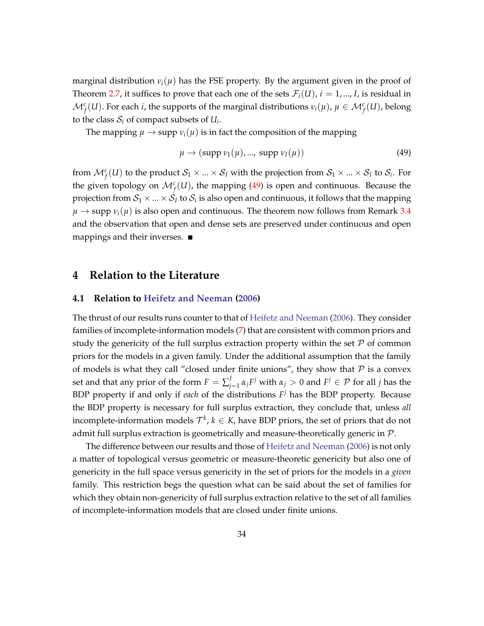marginal distribution  $v_i(\mu)$  has the FSE property. By the argument given in the proof of Theorem [2.7,](#page-17-1) it suffices to prove that each one of the sets  $\mathcal{F}_i(U)$ ,  $i = 1, ..., I$ , is residual in  $\mathcal{M}_f^c(U)$ . For each *i*, the supports of the marginal distributions  $v_i(\mu)$ ,  $\mu \in \mathcal{M}_f^c(U)$ , belong to the class  $S_i$  of compact subsets of  $U_i$ .

The mapping  $\mu \to \text{supp } \nu_i(\mu)$  is in fact the composition of the mapping

<span id="page-35-2"></span>
$$
\mu \to (\text{supp } \nu_1(\mu), ..., \text{supp } \nu_I(\mu)) \tag{49}
$$

from  $\mathcal{M}_f^c(U)$  to the product  $\mathcal{S}_1\times...\times\mathcal{S}_I$  with the projection from  $\mathcal{S}_1\times...\times\mathcal{S}_I$  to  $\mathcal{S}_i$ . For the given topology on  $\mathcal{M}_f^c(U)$ , the mapping [\(49\)](#page-35-2) is open and continuous. Because the projection from  $\mathcal{S}_1 \times ... \times \mathcal{S}_I$  to  $\mathcal{S}_i$  is also open and continuous, it follows that the mapping  $\mu \rightarrow$  supp  $\nu_i(\mu)$  is also open and continuous. The theorem now follows from Remark [3.4](#page-31-2) and the observation that open and dense sets are preserved under continuous and open mappings and their inverses.

### <span id="page-35-1"></span>**4 Relation to the Literature**

#### <span id="page-35-0"></span>**4.1 Relation to [Heifetz and Neeman](#page-46-1) [\(2006\)](#page-46-1)**

The thrust of our results runs counter to that of [Heifetz and Neeman](#page-46-1) [\(2006\)](#page-46-1). They consider families of incomplete-information models [\(7\)](#page-9-4) that are consistent with common priors and study the genericity of the full surplus extraction property within the set  $\mathcal P$  of common priors for the models in a given family. Under the additional assumption that the family of models is what they call "closed under finite unions", they show that  $P$  is a convex set and that any prior of the form  $F = \sum_{i=1}^{J}$  $J$ <sub>*j*=1</sub>α<sub>*j</sub>F<sup><i>j*</sup> with α<sub>*j*</sub> > 0 and *F<sup><i>j*</sup> ∈  $P$  for all *j* has the</sub> BDP property if and only if *each* of the distributions *F <sup>j</sup>* has the BDP property. Because the BDP property is necessary for full surplus extraction, they conclude that, unless *all* incomplete-information models  $\mathcal{T}^k$ ,  $k\in K$ , have BDP priors, the set of priors that do not admit full surplus extraction is geometrically and measure-theoretically generic in  $\mathcal{P}$ .

The difference between our results and those of [Heifetz and Neeman](#page-46-1) [\(2006\)](#page-46-1) is not only a matter of topological versus geometric or measure-theoretic genericity but also one of genericity in the full space versus genericity in the set of priors for the models in a *given* family. This restriction begs the question what can be said about the set of families for which they obtain non-genericity of full surplus extraction relative to the set of all families of incomplete-information models that are closed under finite unions.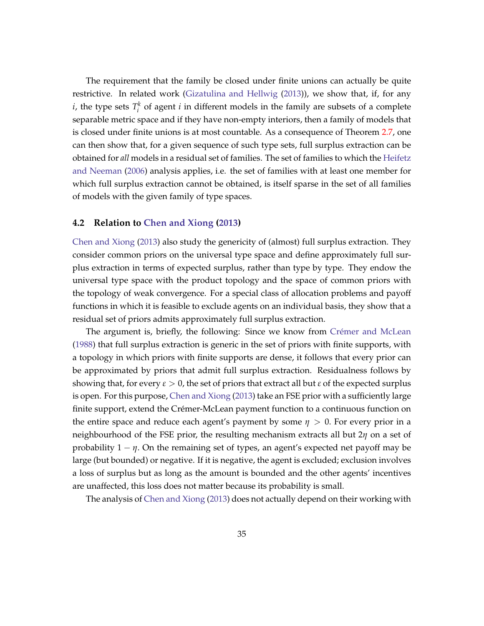The requirement that the family be closed under finite unions can actually be quite restrictive. In related work [\(Gizatulina and Hellwig](#page-46-10) [\(2013\)](#page-46-10)), we show that, if, for any *i*, the type sets  $T_i^k$  of agent *i* in different models in the family are subsets of a complete separable metric space and if they have non-empty interiors, then a family of models that is closed under finite unions is at most countable. As a consequence of Theorem [2.7,](#page-17-1) one can then show that, for a given sequence of such type sets, full surplus extraction can be obtained for *all* models in a residual set of families. The set of families to which the [Heifetz](#page-46-1) [and Neeman](#page-46-1) [\(2006\)](#page-46-1) analysis applies, i.e. the set of families with at least one member for which full surplus extraction cannot be obtained, is itself sparse in the set of all families of models with the given family of type spaces.

#### **4.2 Relation to [Chen and Xiong](#page-45-1) [\(2013\)](#page-45-1)**

[Chen and Xiong](#page-45-1) [\(2013\)](#page-45-1) also study the genericity of (almost) full surplus extraction. They consider common priors on the universal type space and define approximately full surplus extraction in terms of expected surplus, rather than type by type. They endow the universal type space with the product topology and the space of common priors with the topology of weak convergence. For a special class of allocation problems and payoff functions in which it is feasible to exclude agents on an individual basis, they show that a residual set of priors admits approximately full surplus extraction.

The argument is, briefly, the following: Since we know from Crémer and McLean [\(1988\)](#page-45-0) that full surplus extraction is generic in the set of priors with finite supports, with a topology in which priors with finite supports are dense, it follows that every prior can be approximated by priors that admit full surplus extraction. Residualness follows by showing that, for every  $\varepsilon > 0$ , the set of priors that extract all but  $\varepsilon$  of the expected surplus is open. For this purpose, [Chen and Xiong](#page-45-1) [\(2013\)](#page-45-1) take an FSE prior with a sufficiently large finite support, extend the Crémer-McLean payment function to a continuous function on the entire space and reduce each agent's payment by some  $\eta > 0$ . For every prior in a neighbourhood of the FSE prior, the resulting mechanism extracts all but 2*η* on a set of probability  $1 - \eta$ . On the remaining set of types, an agent's expected net payoff may be large (but bounded) or negative. If it is negative, the agent is excluded; exclusion involves a loss of surplus but as long as the amount is bounded and the other agents' incentives are unaffected, this loss does not matter because its probability is small.

The analysis of [Chen and Xiong](#page-45-1) [\(2013\)](#page-45-1) does not actually depend on their working with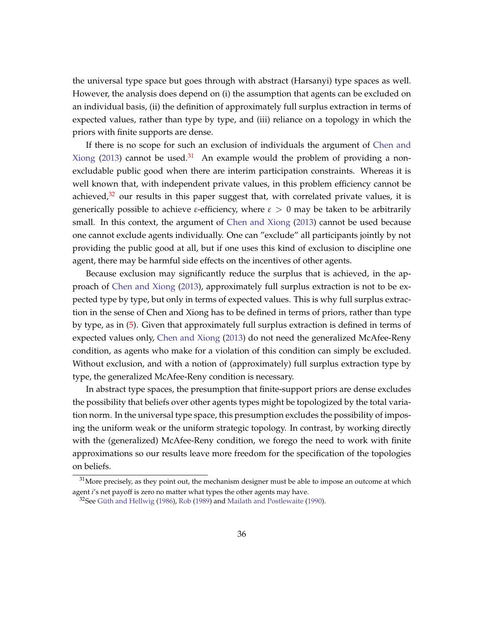the universal type space but goes through with abstract (Harsanyi) type spaces as well. However, the analysis does depend on (i) the assumption that agents can be excluded on an individual basis, (ii) the definition of approximately full surplus extraction in terms of expected values, rather than type by type, and (iii) reliance on a topology in which the priors with finite supports are dense.

If there is no scope for such an exclusion of individuals the argument of [Chen and](#page-45-1) [Xiong](#page-45-1) [\(2013\)](#page-45-1) cannot be used.<sup>[31](#page-37-0)</sup> An example would the problem of providing a nonexcludable public good when there are interim participation constraints. Whereas it is well known that, with independent private values, in this problem efficiency cannot be achieved, $32$  our results in this paper suggest that, with correlated private values, it is generically possible to achieve *ε*-efficiency, where *ε* > 0 may be taken to be arbitrarily small. In this context, the argument of [Chen and Xiong](#page-45-1) [\(2013\)](#page-45-1) cannot be used because one cannot exclude agents individually. One can "exclude" all participants jointly by not providing the public good at all, but if one uses this kind of exclusion to discipline one agent, there may be harmful side effects on the incentives of other agents.

Because exclusion may significantly reduce the surplus that is achieved, in the approach of [Chen and Xiong](#page-45-1) [\(2013\)](#page-45-1), approximately full surplus extraction is not to be expected type by type, but only in terms of expected values. This is why full surplus extraction in the sense of Chen and Xiong has to be defined in terms of priors, rather than type by type, as in [\(5\)](#page-7-3). Given that approximately full surplus extraction is defined in terms of expected values only, [Chen and Xiong](#page-45-1) [\(2013\)](#page-45-1) do not need the generalized McAfee-Reny condition, as agents who make for a violation of this condition can simply be excluded. Without exclusion, and with a notion of (approximately) full surplus extraction type by type, the generalized McAfee-Reny condition is necessary.

In abstract type spaces, the presumption that finite-support priors are dense excludes the possibility that beliefs over other agents types might be topologized by the total variation norm. In the universal type space, this presumption excludes the possibility of imposing the uniform weak or the uniform strategic topology. In contrast, by working directly with the (generalized) McAfee-Reny condition, we forego the need to work with finite approximations so our results leave more freedom for the specification of the topologies on beliefs.

<span id="page-37-0"></span> $31$ More precisely, as they point out, the mechanism designer must be able to impose an outcome at which agent *i*'s net payoff is zero no matter what types the other agents may have.

<span id="page-37-1"></span> $32$ See Güth and Hellwig [\(1986\)](#page-46-11), [Rob](#page-47-2) [\(1989\)](#page-47-2) and [Mailath and Postlewaite](#page-46-12) [\(1990\)](#page-46-12).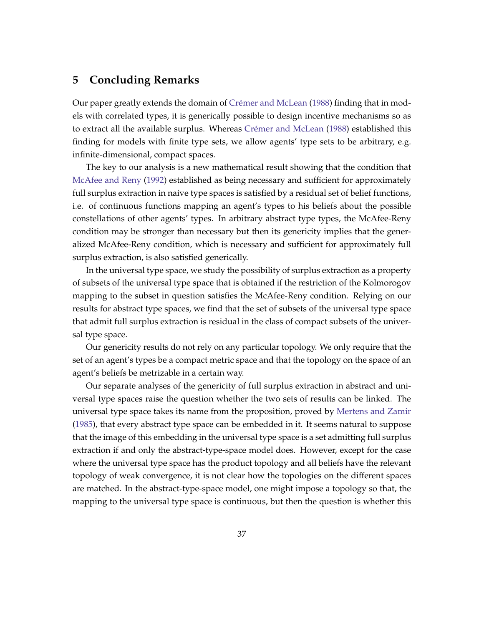# <span id="page-38-0"></span>**5 Concluding Remarks**

Our paper greatly extends the domain of Crémer and McLean [\(1988\)](#page-45-0) finding that in models with correlated types, it is generically possible to design incentive mechanisms so as to extract all the available surplus. Whereas Crémer and McLean [\(1988\)](#page-45-0) established this finding for models with finite type sets, we allow agents' type sets to be arbitrary, e.g. infinite-dimensional, compact spaces.

The key to our analysis is a new mathematical result showing that the condition that [McAfee and Reny](#page-46-0) [\(1992\)](#page-46-0) established as being necessary and sufficient for approximately full surplus extraction in naive type spaces is satisfied by a residual set of belief functions, i.e. of continuous functions mapping an agent's types to his beliefs about the possible constellations of other agents' types. In arbitrary abstract type types, the McAfee-Reny condition may be stronger than necessary but then its genericity implies that the generalized McAfee-Reny condition, which is necessary and sufficient for approximately full surplus extraction, is also satisfied generically.

In the universal type space, we study the possibility of surplus extraction as a property of subsets of the universal type space that is obtained if the restriction of the Kolmorogov mapping to the subset in question satisfies the McAfee-Reny condition. Relying on our results for abstract type spaces, we find that the set of subsets of the universal type space that admit full surplus extraction is residual in the class of compact subsets of the universal type space.

Our genericity results do not rely on any particular topology. We only require that the set of an agent's types be a compact metric space and that the topology on the space of an agent's beliefs be metrizable in a certain way.

Our separate analyses of the genericity of full surplus extraction in abstract and universal type spaces raise the question whether the two sets of results can be linked. The universal type space takes its name from the proposition, proved by [Mertens and Zamir](#page-46-4) [\(1985\)](#page-46-4), that every abstract type space can be embedded in it. It seems natural to suppose that the image of this embedding in the universal type space is a set admitting full surplus extraction if and only the abstract-type-space model does. However, except for the case where the universal type space has the product topology and all beliefs have the relevant topology of weak convergence, it is not clear how the topologies on the different spaces are matched. In the abstract-type-space model, one might impose a topology so that, the mapping to the universal type space is continuous, but then the question is whether this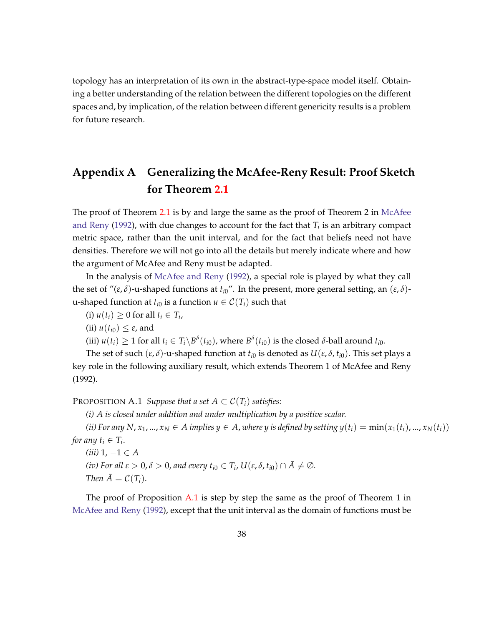topology has an interpretation of its own in the abstract-type-space model itself. Obtaining a better understanding of the relation between the different topologies on the different spaces and, by implication, of the relation between different genericity results is a problem for future research.

# **Appendix A Generalizing the McAfee-Reny Result: Proof Sketch for Theorem [2.1](#page-8-1)**

The proof of Theorem [2.1](#page-8-1) is by and large the same as the proof of Theorem 2 in [McAfee](#page-46-0) [and Reny](#page-46-0) [\(1992\)](#page-46-0), with due changes to account for the fact that *T<sup>i</sup>* is an arbitrary compact metric space, rather than the unit interval, and for the fact that beliefs need not have densities. Therefore we will not go into all the details but merely indicate where and how the argument of McAfee and Reny must be adapted.

In the analysis of [McAfee and Reny](#page-46-0) [\(1992\)](#page-46-0), a special role is played by what they call the set of " $(\varepsilon, \delta)$ -u-shaped functions at  $t_{i0}$ ". In the present, more general setting, an  $(\varepsilon, \delta)$ u-shaped function at  $t_{i0}$  is a function  $u \in C(T_i)$  such that

- (i)  $u(t_i) \geq 0$  for all  $t_i \in T_i$ ,
- (ii)  $u(t_{i0}) \leq \varepsilon$ , and

(iii)  $u(t_i) \geq 1$  for all  $t_i \in T_i \backslash B^{\delta}(t_{i0})$ , where  $B^{\delta}(t_{i0})$  is the closed  $\delta$ -ball around  $t_{i0}$ .

The set of such  $(\varepsilon, \delta)$ -u-shaped function at  $t_{i0}$  is denoted as  $U(\varepsilon, \delta, t_{i0})$ . This set plays a key role in the following auxiliary result, which extends Theorem 1 of McAfee and Reny (1992).

<span id="page-39-0"></span>PROPOSITION A.1 *Suppose that a set*  $A \subset C(T_i)$  *satisfies:* 

*(i) A is closed under addition and under multiplication by a positive scalar.*

*(ii)* For any N,  $x_1, ..., x_N \in A$  implies  $y \in A$ , where y is defined by setting  $y(t_i) = \min(x_1(t_i), ..., x_N(t_i))$ *for any*  $t_i \in T_i$ .

 $(iii)$  1, −1 ∈ *A (iv)* For all  $\varepsilon > 0$ ,  $\delta > 0$ , and every  $t_{i0} \in T_i$ ,  $U(\varepsilon, \delta, t_{i0}) \cap \overline{A} \neq \emptyset$ . *Then*  $\overline{A} = C(T_i)$ .

The proof of Proposition [A.1](#page-39-0) is step by step the same as the proof of Theorem 1 in [McAfee and Reny](#page-46-0) [\(1992\)](#page-46-0), except that the unit interval as the domain of functions must be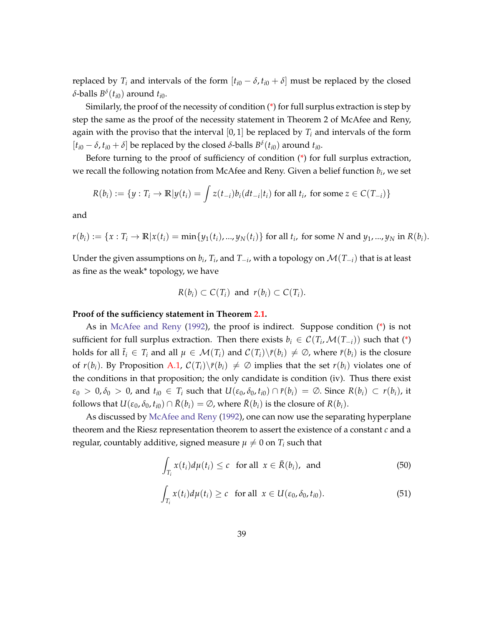replaced by  $T_i$  and intervals of the form  $[t_{i0} - \delta, t_{i0} + \delta]$  must be replaced by the closed *δ*-balls *B δ* (*ti*0) around *ti*0.

Similarly, the proof of the necessity of condition [\(\\*\)](#page-8-2) for full surplus extraction is step by step the same as the proof of the necessity statement in Theorem 2 of McAfee and Reny, again with the proviso that the interval  $[0, 1]$  be replaced by  $T_i$  and intervals of the form  $[t_{i0} - \delta, t_{i0} + \delta]$  be replaced by the closed  $\delta$ -balls  $B^{\delta}(t_{i0})$  around  $t_{i0}$ .

Before turning to the proof of sufficiency of condition [\(\\*\)](#page-8-2) for full surplus extraction, we recall the following notation from McAfee and Reny. Given a belief function *b<sup>i</sup>* , we set

$$
R(b_i) := \{y : T_i \to \mathbb{R} | y(t_i) = \int z(t_{-i}) b_i(dt_{-i}|t_i) \text{ for all } t_i, \text{ for some } z \in C(T_{-i})\}
$$

and

 $r(b_i) := \{x: T_i \to \mathbb{R} | x(t_i) = \min\{y_1(t_i), ..., y_N(t_i)\}\}$  for all  $t_i$ , for some N and  $y_1, ..., y_N$  in  $R(b_i)$ .

Under the given assumptions on  $b_i$ ,  $T_i$ , and  $T_{-i}$ , with a topology on  $\mathcal{M}(T_{-i})$  that is at least as fine as the weak\* topology, we have

$$
R(b_i) \subset C(T_i) \text{ and } r(b_i) \subset C(T_i).
$$

#### **Proof of the sufficiency statement in Theorem [2.1.](#page-8-1)**

As in [McAfee and Reny](#page-46-0) [\(1992\)](#page-46-0), the proof is indirect. Suppose condition [\(\\*\)](#page-8-2) is not sufficient for full surplus extraction. Then there exists  $b_i \in C(T_i, \mathcal{M}(T_{-i}))$  such that [\(\\*\)](#page-8-2) holds for all  $\bar{t}_i \in T_i$  and all  $\mu \in \mathcal{M}(T_i)$  and  $\mathcal{C}(T_i)\backslash \bar{r}(b_i) \neq \emptyset$ , where  $\bar{r}(b_i)$  is the closure of  $r(b_i)$ . By Proposition [A.1,](#page-39-0)  $C(T_i)\setminus \overline{r}(b_i) \neq \emptyset$  implies that the set  $r(b_i)$  violates one of the conditions in that proposition; the only candidate is condition (iv). Thus there exist  $\varepsilon_0 > 0$ ,  $\delta_0 > 0$ , and  $t_{i0} \in T_i$  such that  $U(\varepsilon_0, \delta_0, t_{i0}) \cap \overline{r}(b_i) = \emptyset$ . Since  $R(b_i) \subset r(b_i)$ , it follows that  $U(\varepsilon_0, \delta_0, t_{i0}) \cap \overline{R}(b_i) = \emptyset$ , where  $\overline{R}(b_i)$  is the closure of  $R(b_i)$ .

As discussed by [McAfee and Reny](#page-46-0) [\(1992\)](#page-46-0), one can now use the separating hyperplane theorem and the Riesz representation theorem to assert the existence of a constant *c* and a regular, countably additive, signed measure  $\mu \neq 0$  on  $T_i$  such that

$$
\int_{T_i} x(t_i) d\mu(t_i) \le c \quad \text{for all} \ \ x \in \bar{R}(b_i), \ \text{and} \tag{50}
$$

<span id="page-40-0"></span>
$$
\int_{T_i} x(t_i) d\mu(t_i) \ge c \quad \text{for all} \ \ x \in U(\varepsilon_0, \delta_0, t_{i0}). \tag{51}
$$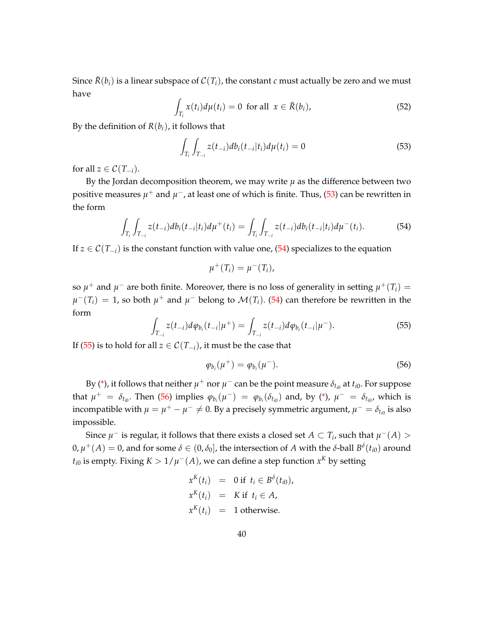Since  $\bar{R}(b_i)$  is a linear subspace of  $C(T_i)$ , the constant *c* must actually be zero and we must have

$$
\int_{T_i} x(t_i) d\mu(t_i) = 0 \text{ for all } x \in \bar{R}(b_i),
$$
\n(52)

By the definition of  $R(b_i)$ , it follows that

<span id="page-41-0"></span>
$$
\int_{T_i} \int_{T_{-i}} z(t_{-i}) db_i(t_{-i}|t_i) d\mu(t_i) = 0
$$
\n(53)

for all  $z \in \mathcal{C}(T_{-i})$ .

By the Jordan decomposition theorem, we may write  $\mu$  as the difference between two positive measures  $\mu^+$  and  $\mu^-$ , at least one of which is finite. Thus, [\(53\)](#page-41-0) can be rewritten in the form

<span id="page-41-1"></span>
$$
\int_{T_i} \int_{T_{-i}} z(t_{-i}) db_i(t_{-i}|t_i) d\mu^+(t_i) = \int_{T_i} \int_{T_{-i}} z(t_{-i}) db_i(t_{-i}|t_i) d\mu^-(t_i).
$$
 (54)

If  $z \in \mathcal{C}(T_{-i})$  is the constant function with value one, [\(54\)](#page-41-1) specializes to the equation

$$
\mu^+(T_i)=\mu^-(T_i),
$$

so  $\mu^+$  and  $\mu^-$  are both finite. Moreover, there is no loss of generality in setting  $\mu^+(T_i) =$  $\mu^-(T_i) = 1$ , so both  $\mu^+$  and  $\mu^-$  belong to  $\mathcal{M}(T_i)$ . [\(54\)](#page-41-1) can therefore be rewritten in the form

<span id="page-41-2"></span>
$$
\int_{T_{-i}} z(t_{-i}) d\varphi_{b_i}(t_{-i}|\mu^+) = \int_{T_{-i}} z(t_{-i}) d\varphi_{b_i}(t_{-i}|\mu^-). \tag{55}
$$

If [\(55\)](#page-41-2) is to hold for all *z* ∈  $C(T_{-i})$ , it must be the case that

<span id="page-41-3"></span>
$$
\varphi_{b_i}(\mu^+) = \varphi_{b_i}(\mu^-). \tag{56}
$$

By [\(\\*\)](#page-8-2), it follows that neither  $\mu^+$  nor  $\mu^-$  can be the point measure  $\delta_{t_{i0}}$  at  $t_{i0}$ . For suppose that  $\mu^+ = \delta_{t_{i0}}$ . Then [\(56\)](#page-41-3) implies  $\varphi_{b_i}(\mu^-) = \varphi_{b_i}(\delta_{t_{i0}})$  and, by [\(\\*\)](#page-8-2),  $\mu^- = \delta_{t_{i0}}$ , which is incompatible with  $\mu = \mu^+ - \mu^- \neq 0$ . By a precisely symmetric argument,  $\mu^- = \delta_{t_{i0}}$  is also impossible.

Since  $\mu^-$  is regular, it follows that there exists a closed set  $A \subset T_i$ , such that  $\mu^-(A) > 0$  $0, μ<sup>+</sup>(A) = 0$ , and for some  $\delta \in (0, \delta_0]$ , the intersection of A with the  $\delta$ -ball  $B<sup>\delta</sup>(t_{i0})$  around  $t_{i0}$  is empty. Fixing  $K > 1/\mu^-(A)$ , we can define a step function  $x^K$  by setting

$$
x^{K}(t_{i}) = 0 \text{ if } t_{i} \in B^{\delta}(t_{i0}),
$$
  
\n
$$
x^{K}(t_{i}) = K \text{ if } t_{i} \in A,
$$
  
\n
$$
x^{K}(t_{i}) = 1 \text{ otherwise.}
$$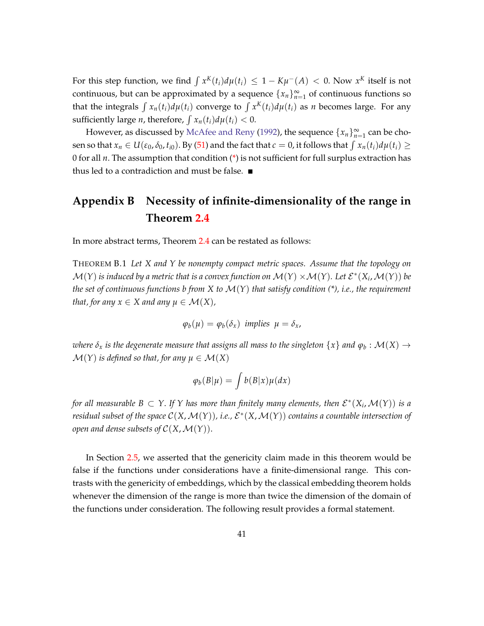For this step function, we find  $\int x^K(t_i) d\mu(t_i) \leq 1 - K\mu^-(A) < 0$ . Now  $x^K$  itself is not continuous, but can be approximated by a sequence  $\{x_n\}_{n=1}^{\infty}$  of continuous functions so that the integrals  $\int x_n(t_i) d\mu(t_i)$  converge to  $\int x^K(t_i) d\mu(t_i)$  as *n* becomes large. For any sufficiently large *n*, therefore,  $\int x_n(t_i) d\mu(t_i) < 0$ .

However, as discussed by [McAfee and Reny](#page-46-0) [\(1992\)](#page-46-0), the sequence  $\{x_n\}_{n=1}^{\infty}$  can be chosen so that  $x_n \in U(\varepsilon_0, \delta_0, t_{i0})$ . By [\(51\)](#page-40-0) and the fact that  $c = 0$ , it follows that  $\int x_n(t_i) d\mu(t_i) \ge$ 0 for all *n*. The assumption that condition [\(\\*\)](#page-8-2) is not sufficient for full surplus extraction has thus led to a contradiction and must be false.  $\blacksquare$ 

# <span id="page-42-0"></span>**Appendix B Necessity of infinite-dimensionality of the range in Theorem [2.4](#page-15-2)**

In more abstract terms, Theorem [2.4](#page-15-2) can be restated as follows:

THEOREM B.1 *Let X and Y be nonempty compact metric spaces. Assume that the topology on*  $\mathcal{M}(Y)$  *is induced by a metric that is a convex function on*  $\mathcal{M}(Y) \times \mathcal{M}(Y)$ *. Let*  $\mathcal{E}^*(X_i, \mathcal{M}(Y))$  *be the set of continuous functions b from X to* M(*Y*) *that satisfy condition (\*), i.e., the requirement that, for any*  $x \in X$  *and any*  $\mu \in \mathcal{M}(X)$ *,* 

$$
\varphi_b(\mu) = \varphi_b(\delta_x) \text{ implies } \mu = \delta_x,
$$

 $\omega$ here  $\delta_x$  is the degenerate measure that assigns all mass to the singleton  $\{x\}$  and  $\varphi_b: \mathcal{M}(X) \to \mathcal{M}(X)$  $\mathcal{M}(Y)$  *is defined so that, for any*  $\mu \in \mathcal{M}(X)$ 

$$
\varphi_b(B|\mu) = \int b(B|x)\mu(dx)
$$

for all measurable  $B\subset Y$ . If  $Y$  has more than finitely many elements, then  $\mathcal{E}^*(X_i,\mathcal{M}(Y))$  is a residual subset of the space  $\mathcal{C}(X,\mathcal{M}(Y))$ , i.e.,  $\mathcal{E}^*(X,\mathcal{M}(Y))$  contains a countable intersection of *open and dense subsets of*  $C(X, \mathcal{M}(Y))$ .

<span id="page-42-1"></span>In Section [2.5,](#page-19-0) we asserted that the genericity claim made in this theorem would be false if the functions under considerations have a finite-dimensional range. This contrasts with the genericity of embeddings, which by the classical embedding theorem holds whenever the dimension of the range is more than twice the dimension of the domain of the functions under consideration. The following result provides a formal statement.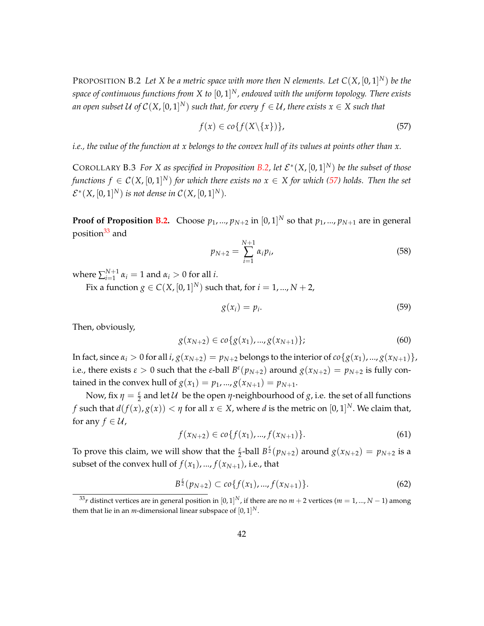PROPOSITION B.2 *Let X be a metric space with more then N elements. Let C*(*X*, [0, 1] *<sup>N</sup>*) *be the space of continuous functions from X to* [0, 1] *<sup>N</sup>, endowed with the uniform topology. There exists* an open subset U of  $\mathcal{C}(X,[0,1]^N)$  such that, for every  $f\in\mathcal{U}$ , there exists  $x\in X$  such that

<span id="page-43-0"></span>
$$
f(x) \in co\{f(X \setminus \{x\})\},\tag{57}
$$

*i.e., the value of the function at x belongs to the convex hull of its values at points other than x.*

COROLLARY B.3 For X as specified in Proposition [B.2,](#page-42-1) let  $\mathcal{E}^*(X,[0,1]^N)$  be the subset of those *functions*  $f \in \mathcal{C}(X,[0,1]^N)$  *for which there exists no*  $x \in X$  *for which [\(57\)](#page-43-0) holds. Then the set*  $\mathcal{E}^*(X,[0,1]^N)$  is not dense in  $\mathcal{C}(X,[0,1]^N)$ .

**Proof of Proposition [B.2.](#page-42-1)** Choose  $p_1, ..., p_{N+2}$  in  $[0, 1]^N$  so that  $p_1, ..., p_{N+1}$  are in general position<sup>[33](#page-43-1)</sup> and

$$
p_{N+2} = \sum_{i=1}^{N+1} \alpha_i p_i,
$$
\n(58)

where  $\sum_{i=1}^{N+1}$  $a_{i=1}^{N+1}$   $\alpha_i = 1$  and  $\alpha_i > 0$  for all *i*.

Fix a function  $g \in C(X, [0, 1]^N)$  such that, for  $i = 1, ..., N + 2$ ,

$$
g(x_i) = p_i. \tag{59}
$$

Then, obviously,

$$
g(x_{N+2}) \in co\{g(x_1),...,g(x_{N+1})\};\tag{60}
$$

In fact, since  $\alpha_i > 0$  for all  $i$ ,  $g(x_{N+2}) = p_{N+2}$  belongs to the interior of  $co\{g(x_1), ..., g(x_{N+1})\}$ , i.e., there exists  $\varepsilon > 0$  such that the  $\varepsilon$ -ball  $B^{\varepsilon}(p_{N+2})$  around  $g(x_{N+2}) = p_{N+2}$  is fully contained in the convex hull of  $g(x_1) = p_1, ..., g(x_{N+1}) = p_{N+1}$ .

Now, fix  $\eta = \frac{\varepsilon}{2}$  and let  $\mathcal U$  be the open  $\eta$ -neighbourhood of *g*, i.e. the set of all functions *f* such that  $d(f(x), g(x)) < \eta$  for all  $x \in X$ , where  $d$  is the metric on  $[0, 1]^N$ . We claim that, for any  $f \in \mathcal{U}$ ,

<span id="page-43-3"></span>
$$
f(x_{N+2}) \in co\{f(x_1),...,f(x_{N+1})\}.
$$
\n(61)

To prove this claim, we will show that the  $\frac{\varepsilon}{2}$ -ball  $B^{\frac{\varepsilon}{2}}(p_{N+2})$  around  $g(x_{N+2}) = p_{N+2}$  is a subset of the convex hull of  $f(x_1)$ , ...,  $f(x_{N+1})$ , i.e., that

<span id="page-43-2"></span>
$$
B^{\frac{\epsilon}{2}}(p_{N+2}) \subset co\{f(x_1),...,f(x_{N+1})\}.
$$
\n(62)

<span id="page-43-1"></span> $^{33}r$  distinct vertices are in general position in  $[0,1]^N$ , if there are no  $m+2$  vertices ( $m=1,...,N-1$ ) among them that lie in an *m*-dimensional linear subspace of  $[0,1]^N$ .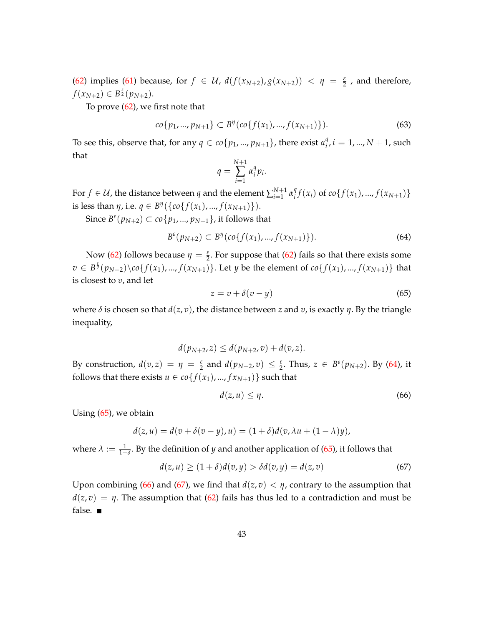[\(62\)](#page-43-2) implies [\(61\)](#page-43-3) because, for  $f \in \mathcal{U}$ ,  $d(f(x_{N+2}), g(x_{N+2})) < \eta = \frac{\varepsilon}{2}$ , and therefore,  $f(x_{N+2}) \in B^{\frac{\varepsilon}{2}}(p_{N+2}).$ 

To prove  $(62)$ , we first note that

$$
co\{p_1, ..., p_{N+1}\} \subset B^{\eta}(co\{f(x_1), ..., f(x_{N+1})\}).
$$
\n(63)

To see this, observe that, for any  $q \in co\{p_1, ..., p_{N+1}\}$ , there exist  $\alpha_i^q$  $a_i^q$ ,  $i = 1, ..., N + 1$ , such that

$$
q = \sum_{i=1}^{N+1} \alpha_i^q p_i.
$$

For  $f \in \mathcal{U}$ , the distance between  $q$  and the element  $\sum_{i=1}^{N+1}$  $\sum_{i=1}^{N+1} \alpha_i^q$  $f(x_i)$  of  $co\{f(x_1),..., f(x_{N+1})\}$ is less than  $\eta$ , i.e.  $q \in B^{\eta}(\{co\{f(x_1),...,f(x_{N+1})\}).$ 

 ${\rm Since}\ B^\varepsilon(p_{N+2})\subset co\{p_1,...,p_{N+1}\},$  it follows that

<span id="page-44-0"></span>
$$
B^{\varepsilon}(p_{N+2}) \subset B^{\eta}(co\{f(x_1),...,f(x_{N+1})\}). \tag{64}
$$

Now [\(62\)](#page-43-2) follows because  $\eta = \frac{\varepsilon}{2}$ . For suppose that (62) fails so that there exists some  $v\in B^{\frac{\varepsilon}{2}}(p_{N+2})\backslash co\{f(x_1),...,f(x_{N+1})\}.$  Let *y* be the element of  $co\{f(x_1),...,f(x_{N+1})\}$  that is closest to *v*, and let

<span id="page-44-1"></span>
$$
z = v + \delta(v - y) \tag{65}
$$

where  $\delta$  is chosen so that  $d(z, v)$ , the distance between *z* and *v*, is exactly *η*. By the triangle inequality,

$$
d(p_{N+2}, z) \le d(p_{N+2}, v) + d(v, z).
$$
  
By construction,  $d(v, z) = \eta = \frac{\varepsilon}{2}$  and  $d(p_{N+2}, v) \le \frac{\varepsilon}{2}$ . Thus,  $z \in B^{\varepsilon}(p_{N+2})$ . By (64), it follows that there exists  $u \in co\{f(x_1), ..., f(x_{N+1})\}$  such that

<span id="page-44-2"></span>
$$
d(z, u) \leq \eta. \tag{66}
$$

Using [\(65\)](#page-44-1), we obtain

$$
d(z, u) = d(v + \delta(v - y), u) = (1 + \delta)d(v, \lambda u + (1 - \lambda)y),
$$

where  $\lambda := \frac{1}{1+\delta}$ . By the definition of *y* and another application of [\(65\)](#page-44-1), it follows that

<span id="page-44-3"></span>
$$
d(z, u) \ge (1 + \delta)d(v, y) > \delta d(v, y) = d(z, v)
$$
\n(67)

Upon combining [\(66\)](#page-44-2) and [\(67\)](#page-44-3), we find that  $d(z, v) < \eta$ , contrary to the assumption that  $d(z, v) = \eta$ . The assumption that [\(62\)](#page-43-2) fails has thus led to a contradiction and must be false.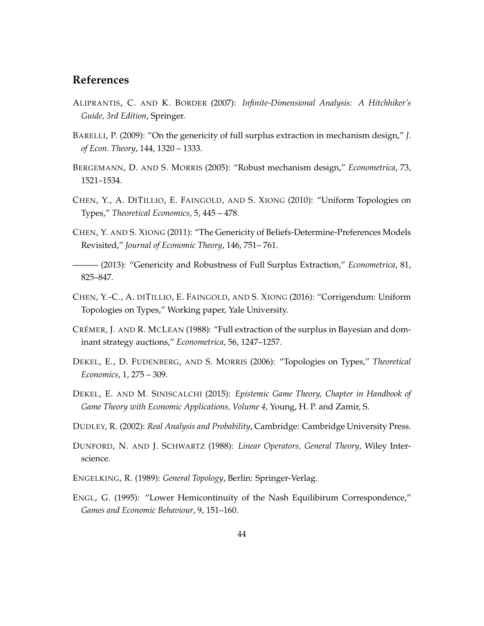# **References**

- <span id="page-45-9"></span>ALIPRANTIS, C. AND K. BORDER (2007): *Infinite-Dimensional Analysis: A Hitchhiker's Guide, 3rd Edition*, Springer.
- <span id="page-45-2"></span>BARELLI, P. (2009): "On the genericity of full surplus extraction in mechanism design," *J. of Econ. Theory*, 144, 1320 – 1333.
- <span id="page-45-5"></span>BERGEMANN, D. AND S. MORRIS (2005): "Robust mechanism design," *Econometrica*, 73, 1521–1534.
- <span id="page-45-7"></span>CHEN, Y., A. DITILLIO, E. FAINGOLD, AND S. XIONG (2010): "Uniform Topologies on Types," *Theoretical Economics*, 5, 445 – 478.
- <span id="page-45-3"></span>CHEN, Y. AND S. XIONG (2011): "The Genericity of Beliefs-Determine-Preferences Models Revisited," *Journal of Economic Theory*, 146, 751– 761.
- <span id="page-45-1"></span>——— (2013): "Genericity and Robustness of Full Surplus Extraction," *Econometrica*, 81, 825–847.
- <span id="page-45-12"></span>CHEN, Y.-C., A. DITILLIO, E. FAINGOLD, AND S. XIONG (2016): "Corrigendum: Uniform Topologies on Types," Working paper, Yale University.
- <span id="page-45-0"></span>CRÉMER, J. AND R. MCLEAN (1988): "Full extraction of the surplus in Bayesian and dominant strategy auctions," *Econometrica*, 56, 1247–1257.
- <span id="page-45-4"></span>DEKEL, E., D. FUDENBERG, AND S. MORRIS (2006): "Topologies on Types," *Theoretical Economics*, 1, 275 – 309.
- <span id="page-45-11"></span>DEKEL, E. AND M. SINISCALCHI (2015): *Epistemic Game Theory, Chapter in Handbook of Game Theory with Economic Applications, Volume 4*, Young, H. P. and Zamir, S.
- <span id="page-45-8"></span>DUDLEY, R. (2002): *Real Analysis and Probability*, Cambridge: Cambridge University Press.
- <span id="page-45-10"></span>DUNFORD, N. AND J. SCHWARTZ (1988): *Linear Operators, General Theory*, Wiley Interscience.
- <span id="page-45-13"></span>ENGELKING, R. (1989): *General Topology*, Berlin: Springer-Verlag.
- <span id="page-45-6"></span>ENGL, G. (1995): "Lower Hemicontinuity of the Nash Equilibirum Correspondence," *Games and Economic Behaviour*, 9, 151–160.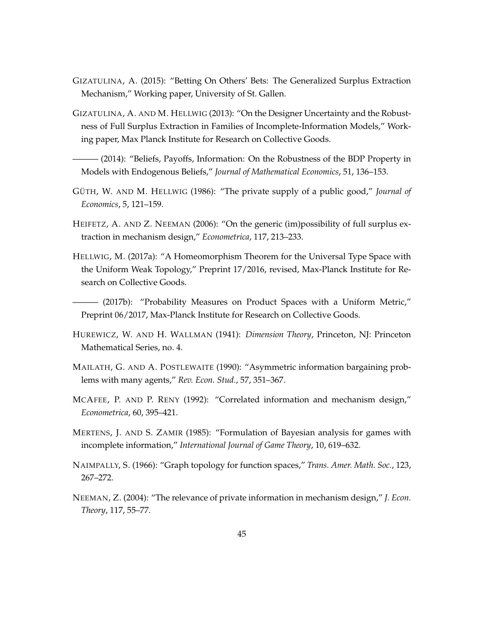- <span id="page-46-7"></span>GIZATULINA, A. (2015): "Betting On Others' Bets: The Generalized Surplus Extraction Mechanism," Working paper, University of St. Gallen.
- <span id="page-46-10"></span>GIZATULINA, A. AND M. HELLWIG (2013): "On the Designer Uncertainty and the Robustness of Full Surplus Extraction in Families of Incomplete-Information Models," Working paper, Max Planck Institute for Research on Collective Goods.

<span id="page-46-2"></span>– (2014): "Beliefs, Payoffs, Information: On the Robustness of the BDP Property in Models with Endogenous Beliefs," *Journal of Mathematical Economics*, 51, 136–153.

- <span id="page-46-11"></span>GÜTH, W. AND M. HELLWIG (1986): "The private supply of a public good," *Journal of Economics*, 5, 121–159.
- <span id="page-46-1"></span>HEIFETZ, A. AND Z. NEEMAN (2006): "On the generic (im)possibility of full surplus extraction in mechanism design," *Econometrica*, 117, 213–233.
- <span id="page-46-6"></span>HELLWIG, M. (2017a): "A Homeomorphism Theorem for the Universal Type Space with the Uniform Weak Topology," Preprint 17/2016, revised, Max-Planck Institute for Research on Collective Goods.

<span id="page-46-8"></span>——— (2017b): "Probability Measures on Product Spaces with a Uniform Metric," Preprint 06/2017, Max-Planck Institute for Research on Collective Goods.

- <span id="page-46-5"></span>HUREWICZ, W. AND H. WALLMAN (1941): *Dimension Theory*, Princeton, NJ: Princeton Mathematical Series, no. 4.
- <span id="page-46-12"></span>MAILATH, G. AND A. POSTLEWAITE (1990): "Asymmetric information bargaining problems with many agents," *Rev. Econ. Stud.*, 57, 351–367.
- <span id="page-46-0"></span>MCAFEE, P. AND P. RENY (1992): "Correlated information and mechanism design," *Econometrica*, 60, 395–421.
- <span id="page-46-4"></span>MERTENS, J. AND S. ZAMIR (1985): "Formulation of Bayesian analysis for games with incomplete information," *International Journal of Game Theory*, 10, 619–632.
- <span id="page-46-9"></span>NAIMPALLY, S. (1966): "Graph topology for function spaces," *Trans. Amer. Math. Soc.*, 123, 267–272.
- <span id="page-46-3"></span>NEEMAN, Z. (2004): "The relevance of private information in mechanism design," *J. Econ. Theory*, 117, 55–77.